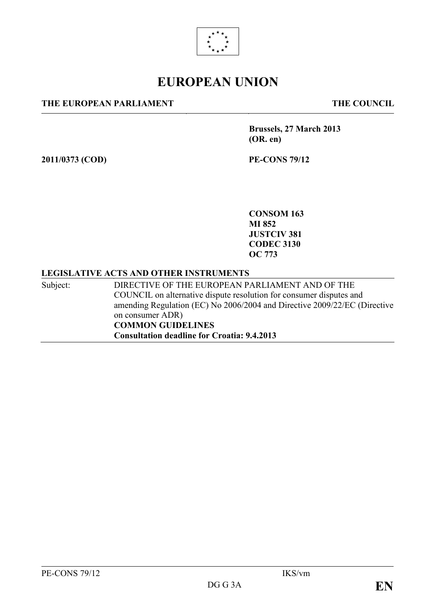

# **EUROPEAN UNION**

#### **THE EUROPEAN PARLIAMENT THE COUNCIL**

**Brussels, 27 March 2013 (OR. en)**

**2011/0373 (COD) PE-CONS 79/12**

**CONSOM 163 MI 852 JUSTCIV 381 CODEC 3130 OC 773**

#### **LEGISLATIVE ACTS AND OTHER INSTRUMENTS**

Subject: DIRECTIVE OF THE EUROPEAN PARLIAMENT AND OF THE COUNCIL on alternative dispute resolution for consumer disputes and amending Regulation (EC) No 2006/2004 and Directive 2009/22/EC (Directive on consumer ADR) **COMMON GUIDELINES Consultation deadline for Croatia: 9.4.2013**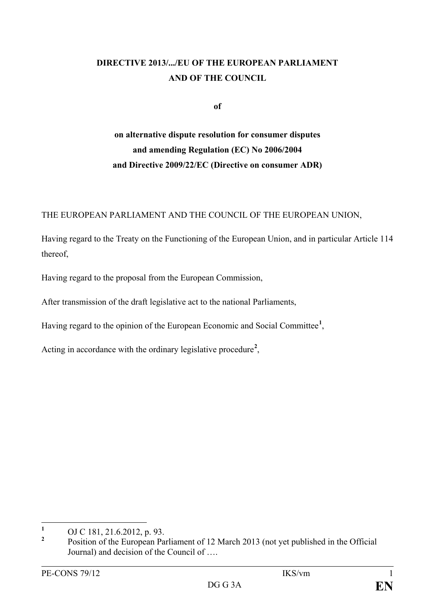# **DIRECTIVE 2013/.../EU OF THE EUROPEAN PARLIAMENT AND OF THE COUNCIL**

**of**

**on alternative dispute resolution for consumer disputes and amending Regulation (EC) No 2006/2004 and Directive 2009/22/EC (Directive on consumer ADR)**

THE EUROPEAN PARLIAMENT AND THE COUNCIL OF THE EUROPEAN UNION,

Having regard to the Treaty on the Functioning of the European Union, and in particular Article 114 thereof,

Having regard to the proposal from the European Commission,

After transmission of the draft legislative act to the national Parliaments,

Having regard to the opinion of the European Economic and Social Committee**[1](#page-1-0)** ,

Acting in accordance with the ordinary legislative procedure**[2](#page-1-1)** ,

<span id="page-1-0"></span>**<sup>1</sup>** OJ C 181, 21.6.2012, p. 93.

<span id="page-1-1"></span>**<sup>2</sup>** Position of the European Parliament of 12 March 2013 (not yet published in the Official Journal) and decision of the Council of ….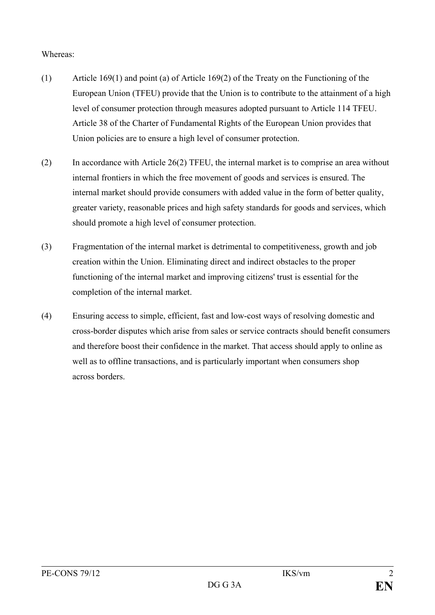#### Whereas:

- (1) Article 169(1) and point (a) of Article 169(2) of the Treaty on the Functioning of the European Union (TFEU) provide that the Union is to contribute to the attainment of a high level of consumer protection through measures adopted pursuant to Article 114 TFEU. Article 38 of the Charter of Fundamental Rights of the European Union provides that Union policies are to ensure a high level of consumer protection.
- (2) In accordance with Article 26(2) TFEU, the internal market is to comprise an area without internal frontiers in which the free movement of goods and services is ensured. The internal market should provide consumers with added value in the form of better quality, greater variety, reasonable prices and high safety standards for goods and services, which should promote a high level of consumer protection.
- (3) Fragmentation of the internal market is detrimental to competitiveness, growth and job creation within the Union. Eliminating direct and indirect obstacles to the proper functioning of the internal market and improving citizens' trust is essential for the completion of the internal market.
- (4) Ensuring access to simple, efficient, fast and low-cost ways of resolving domestic and cross-border disputes which arise from sales or service contracts should benefit consumers and therefore boost their confidence in the market. That access should apply to online as well as to offline transactions, and is particularly important when consumers shop across borders.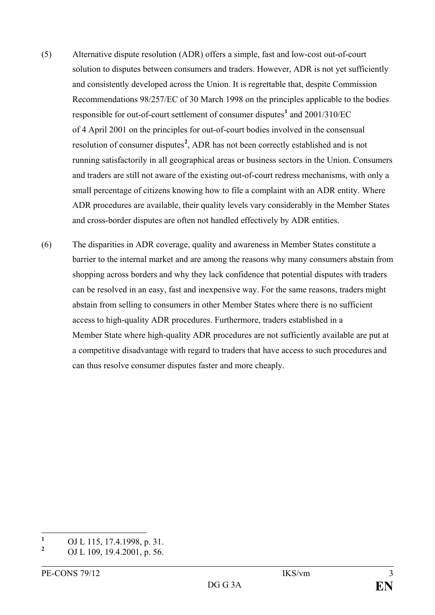- (5) Alternative dispute resolution (ADR) offers a simple, fast and low-cost out-of-court solution to disputes between consumers and traders. However, ADR is not yet sufficiently and consistently developed across the Union. It is regrettable that, despite Commission Recommendations 98/257/EC of 30 March 1998 on the principles applicable to the bodies responsible for out-of-court settlement of consumer disputes**[1](#page-3-0)** and 2001/310/EC of 4 April 2001 on the principles for out-of-court bodies involved in the consensual resolution of consumer disputes**[2](#page-3-1)** , ADR has not been correctly established and is not running satisfactorily in all geographical areas or business sectors in the Union. Consumers and traders are still not aware of the existing out-of-court redress mechanisms, with only a small percentage of citizens knowing how to file a complaint with an ADR entity. Where ADR procedures are available, their quality levels vary considerably in the Member States and cross-border disputes are often not handled effectively by ADR entities.
- (6) The disparities in ADR coverage, quality and awareness in Member States constitute a barrier to the internal market and are among the reasons why many consumers abstain from shopping across borders and why they lack confidence that potential disputes with traders can be resolved in an easy, fast and inexpensive way. For the same reasons, traders might abstain from selling to consumers in other Member States where there is no sufficient access to high-quality ADR procedures. Furthermore, traders established in a Member State where high-quality ADR procedures are not sufficiently available are put at a competitive disadvantage with regard to traders that have access to such procedures and can thus resolve consumer disputes faster and more cheaply.

<span id="page-3-0"></span><sup>&</sup>lt;sup>1</sup> OJ L 115, 17.4.1998, p. 31.

<span id="page-3-1"></span>**<sup>2</sup>** OJ L 109, 19.4.2001, p. 56.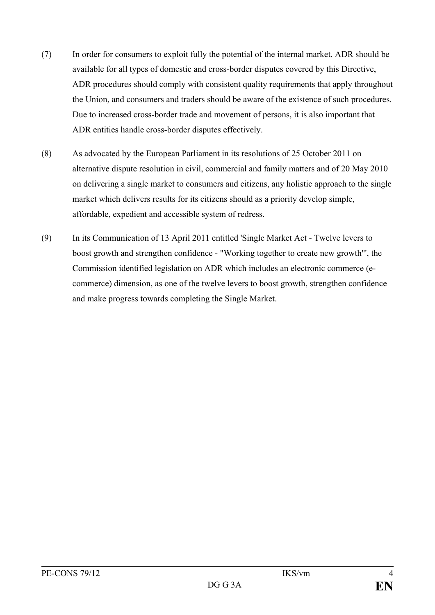- (7) In order for consumers to exploit fully the potential of the internal market, ADR should be available for all types of domestic and cross-border disputes covered by this Directive, ADR procedures should comply with consistent quality requirements that apply throughout the Union, and consumers and traders should be aware of the existence of such procedures. Due to increased cross-border trade and movement of persons, it is also important that ADR entities handle cross-border disputes effectively.
- (8) As advocated by the European Parliament in its resolutions of 25 October 2011 on alternative dispute resolution in civil, commercial and family matters and of 20 May 2010 on delivering a single market to consumers and citizens, any holistic approach to the single market which delivers results for its citizens should as a priority develop simple, affordable, expedient and accessible system of redress.
- (9) In its Communication of 13 April 2011 entitled 'Single Market Act Twelve levers to boost growth and strengthen confidence - "Working together to create new growth"', the Commission identified legislation on ADR which includes an electronic commerce (ecommerce) dimension, as one of the twelve levers to boost growth, strengthen confidence and make progress towards completing the Single Market.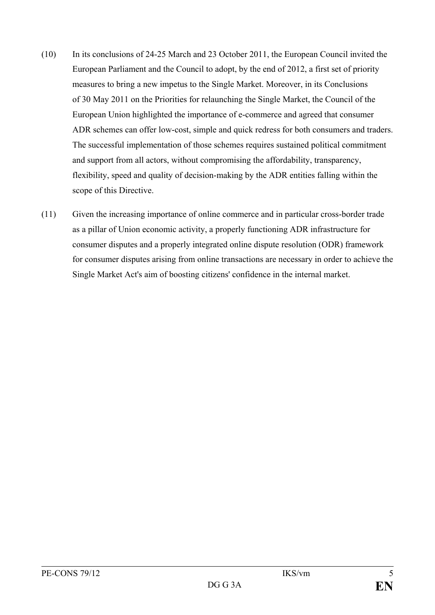- (10) In its conclusions of 24-25 March and 23 October 2011, the European Council invited the European Parliament and the Council to adopt, by the end of 2012, a first set of priority measures to bring a new impetus to the Single Market. Moreover, in its Conclusions of 30 May 2011 on the Priorities for relaunching the Single Market, the Council of the European Union highlighted the importance of e-commerce and agreed that consumer ADR schemes can offer low-cost, simple and quick redress for both consumers and traders. The successful implementation of those schemes requires sustained political commitment and support from all actors, without compromising the affordability, transparency, flexibility, speed and quality of decision-making by the ADR entities falling within the scope of this Directive.
- (11) Given the increasing importance of online commerce and in particular cross-border trade as a pillar of Union economic activity, a properly functioning ADR infrastructure for consumer disputes and a properly integrated online dispute resolution (ODR) framework for consumer disputes arising from online transactions are necessary in order to achieve the Single Market Act's aim of boosting citizens' confidence in the internal market.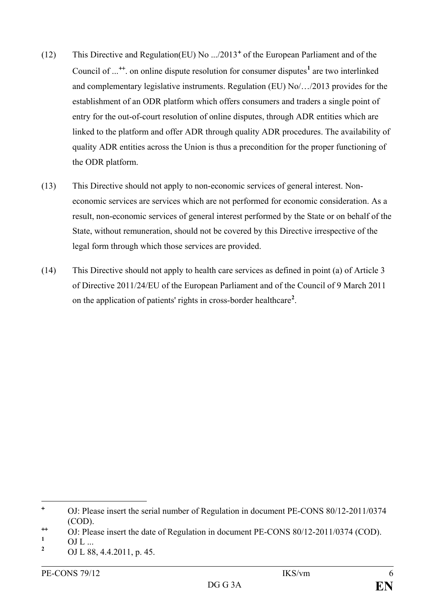- (12) This Directive and Regulation(EU) No .../2013[+](#page-6-0) of the European Parliament and of the Council of ...<sup>[++](#page-6-1)</sup>. on online dispute resolution for consumer disputes<sup>[1](#page-6-2)</sup> are two interlinked and complementary legislative instruments. Regulation (EU) No/…/2013 provides for the establishment of an ODR platform which offers consumers and traders a single point of entry for the out-of-court resolution of online disputes, through ADR entities which are linked to the platform and offer ADR through quality ADR procedures. The availability of quality ADR entities across the Union is thus a precondition for the proper functioning of the ODR platform.
- (13) This Directive should not apply to non-economic services of general interest. Noneconomic services are services which are not performed for economic consideration. As a result, non-economic services of general interest performed by the State or on behalf of the State, without remuneration, should not be covered by this Directive irrespective of the legal form through which those services are provided.
- (14) This Directive should not apply to health care services as defined in point (a) of Article 3 of Directive 2011/24/EU of the European Parliament and of the Council of 9 March 2011 on the application of patients' rights in cross-border healthcare**[2](#page-6-3)** .

<span id="page-6-0"></span><sup>+</sup> OJ: Please insert the serial number of Regulation in document PE-CONS 80/12-2011/0374

<span id="page-6-1"></span><sup>(</sup>COD).<br>  $^{++}$  OJ: Please insert the date of Regulation in document PE-CONS 80/12-2011/0374 (COD).

<span id="page-6-3"></span><span id="page-6-2"></span> $\frac{1}{2}$  OJ L ...

**<sup>2</sup>** OJ L 88, 4.4.2011, p. 45.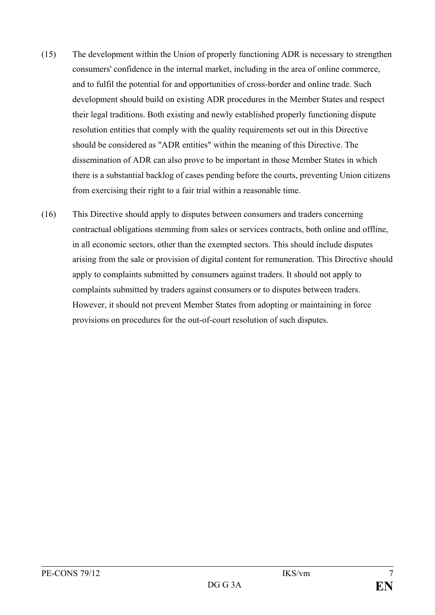- (15) The development within the Union of properly functioning ADR is necessary to strengthen consumers' confidence in the internal market, including in the area of online commerce, and to fulfil the potential for and opportunities of cross-border and online trade. Such development should build on existing ADR procedures in the Member States and respect their legal traditions. Both existing and newly established properly functioning dispute resolution entities that comply with the quality requirements set out in this Directive should be considered as "ADR entities" within the meaning of this Directive. The dissemination of ADR can also prove to be important in those Member States in which there is a substantial backlog of cases pending before the courts, preventing Union citizens from exercising their right to a fair trial within a reasonable time.
- (16) This Directive should apply to disputes between consumers and traders concerning contractual obligations stemming from sales or services contracts, both online and offline, in all economic sectors, other than the exempted sectors. This should include disputes arising from the sale or provision of digital content for remuneration. This Directive should apply to complaints submitted by consumers against traders. It should not apply to complaints submitted by traders against consumers or to disputes between traders. However, it should not prevent Member States from adopting or maintaining in force provisions on procedures for the out-of-court resolution of such disputes.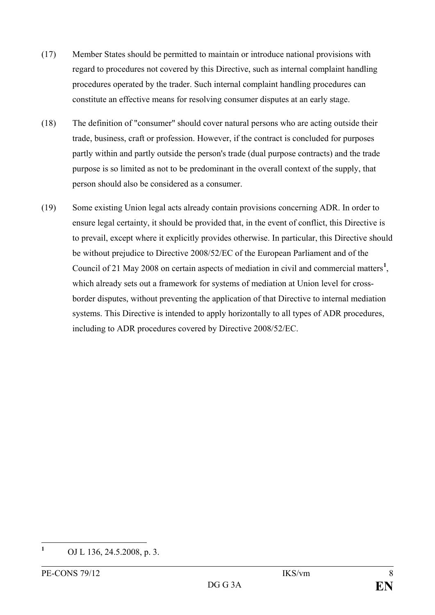- (17) Member States should be permitted to maintain or introduce national provisions with regard to procedures not covered by this Directive, such as internal complaint handling procedures operated by the trader. Such internal complaint handling procedures can constitute an effective means for resolving consumer disputes at an early stage.
- (18) The definition of "consumer" should cover natural persons who are acting outside their trade, business, craft or profession. However, if the contract is concluded for purposes partly within and partly outside the person's trade (dual purpose contracts) and the trade purpose is so limited as not to be predominant in the overall context of the supply, that person should also be considered as a consumer.
- (19) Some existing Union legal acts already contain provisions concerning ADR. In order to ensure legal certainty, it should be provided that, in the event of conflict, this Directive is to prevail, except where it explicitly provides otherwise. In particular, this Directive should be without prejudice to Directive 2008/52/EC of the European Parliament and of the Council of 21 May 2008 on certain aspects of mediation in civil and commercial matters**[1](#page-8-0)** , which already sets out a framework for systems of mediation at Union level for crossborder disputes, without preventing the application of that Directive to internal mediation systems. This Directive is intended to apply horizontally to all types of ADR procedures, including to ADR procedures covered by Directive 2008/52/EC.

<span id="page-8-0"></span>**<sup>1</sup>** OJ L 136, 24.5.2008, p. 3.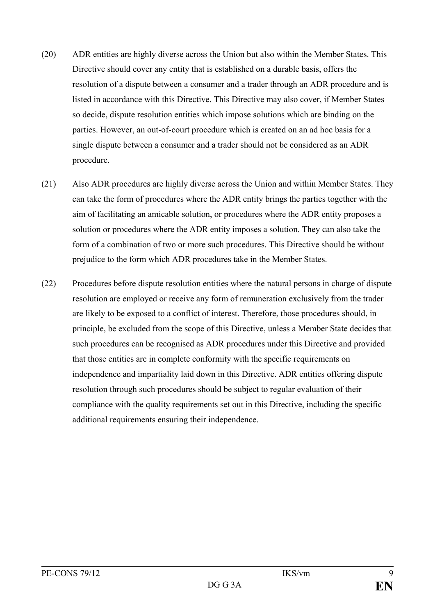- (20) ADR entities are highly diverse across the Union but also within the Member States. This Directive should cover any entity that is established on a durable basis, offers the resolution of a dispute between a consumer and a trader through an ADR procedure and is listed in accordance with this Directive. This Directive may also cover, if Member States so decide, dispute resolution entities which impose solutions which are binding on the parties. However, an out-of-court procedure which is created on an ad hoc basis for a single dispute between a consumer and a trader should not be considered as an ADR procedure.
- (21) Also ADR procedures are highly diverse across the Union and within Member States. They can take the form of procedures where the ADR entity brings the parties together with the aim of facilitating an amicable solution, or procedures where the ADR entity proposes a solution or procedures where the ADR entity imposes a solution. They can also take the form of a combination of two or more such procedures. This Directive should be without prejudice to the form which ADR procedures take in the Member States.
- (22) Procedures before dispute resolution entities where the natural persons in charge of dispute resolution are employed or receive any form of remuneration exclusively from the trader are likely to be exposed to a conflict of interest. Therefore, those procedures should, in principle, be excluded from the scope of this Directive, unless a Member State decides that such procedures can be recognised as ADR procedures under this Directive and provided that those entities are in complete conformity with the specific requirements on independence and impartiality laid down in this Directive. ADR entities offering dispute resolution through such procedures should be subject to regular evaluation of their compliance with the quality requirements set out in this Directive, including the specific additional requirements ensuring their independence.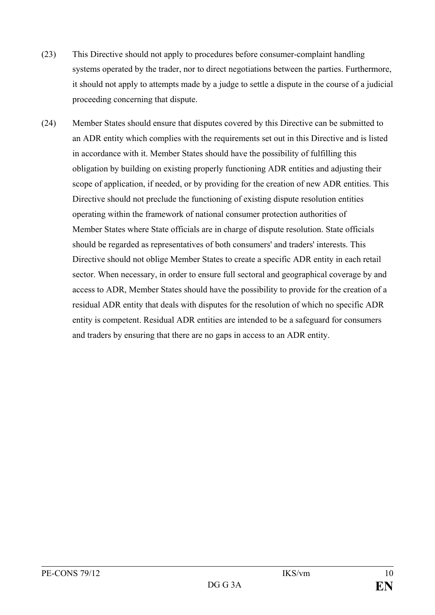- (23) This Directive should not apply to procedures before consumer-complaint handling systems operated by the trader, nor to direct negotiations between the parties. Furthermore, it should not apply to attempts made by a judge to settle a dispute in the course of a judicial proceeding concerning that dispute.
- (24) Member States should ensure that disputes covered by this Directive can be submitted to an ADR entity which complies with the requirements set out in this Directive and is listed in accordance with it. Member States should have the possibility of fulfilling this obligation by building on existing properly functioning ADR entities and adjusting their scope of application, if needed, or by providing for the creation of new ADR entities. This Directive should not preclude the functioning of existing dispute resolution entities operating within the framework of national consumer protection authorities of Member States where State officials are in charge of dispute resolution. State officials should be regarded as representatives of both consumers' and traders' interests. This Directive should not oblige Member States to create a specific ADR entity in each retail sector. When necessary, in order to ensure full sectoral and geographical coverage by and access to ADR, Member States should have the possibility to provide for the creation of a residual ADR entity that deals with disputes for the resolution of which no specific ADR entity is competent. Residual ADR entities are intended to be a safeguard for consumers and traders by ensuring that there are no gaps in access to an ADR entity.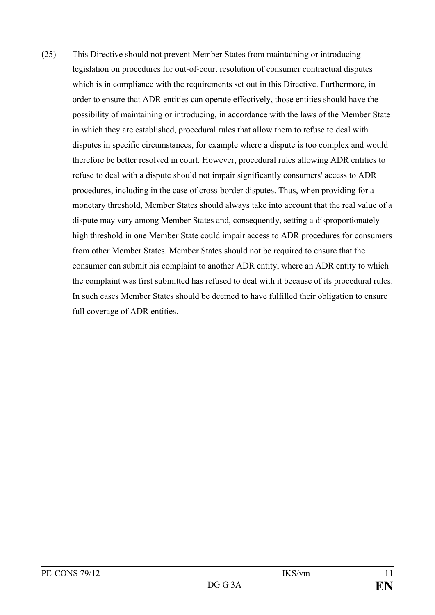(25) This Directive should not prevent Member States from maintaining or introducing legislation on procedures for out-of-court resolution of consumer contractual disputes which is in compliance with the requirements set out in this Directive. Furthermore, in order to ensure that ADR entities can operate effectively, those entities should have the possibility of maintaining or introducing, in accordance with the laws of the Member State in which they are established, procedural rules that allow them to refuse to deal with disputes in specific circumstances, for example where a dispute is too complex and would therefore be better resolved in court. However, procedural rules allowing ADR entities to refuse to deal with a dispute should not impair significantly consumers' access to ADR procedures, including in the case of cross-border disputes. Thus, when providing for a monetary threshold, Member States should always take into account that the real value of a dispute may vary among Member States and, consequently, setting a disproportionately high threshold in one Member State could impair access to ADR procedures for consumers from other Member States. Member States should not be required to ensure that the consumer can submit his complaint to another ADR entity, where an ADR entity to which the complaint was first submitted has refused to deal with it because of its procedural rules. In such cases Member States should be deemed to have fulfilled their obligation to ensure full coverage of ADR entities.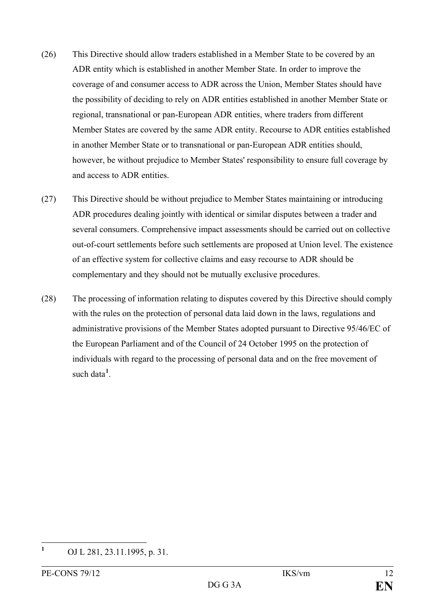- (26) This Directive should allow traders established in a Member State to be covered by an ADR entity which is established in another Member State. In order to improve the coverage of and consumer access to ADR across the Union, Member States should have the possibility of deciding to rely on ADR entities established in another Member State or regional, transnational or pan-European ADR entities, where traders from different Member States are covered by the same ADR entity. Recourse to ADR entities established in another Member State or to transnational or pan-European ADR entities should, however, be without prejudice to Member States' responsibility to ensure full coverage by and access to ADR entities.
- (27) This Directive should be without prejudice to Member States maintaining or introducing ADR procedures dealing jointly with identical or similar disputes between a trader and several consumers. Comprehensive impact assessments should be carried out on collective out-of-court settlements before such settlements are proposed at Union level. The existence of an effective system for collective claims and easy recourse to ADR should be complementary and they should not be mutually exclusive procedures.
- (28) The processing of information relating to disputes covered by this Directive should comply with the rules on the protection of personal data laid down in the laws, regulations and administrative provisions of the Member States adopted pursuant to Directive 95/46/EC of the European Parliament and of the Council of 24 October 1995 on the protection of individuals with regard to the processing of personal data and on the free movement of such data**[1](#page-12-0)** .

<span id="page-12-0"></span>**<sup>1</sup>** OJ L 281, 23.11.1995, p. 31.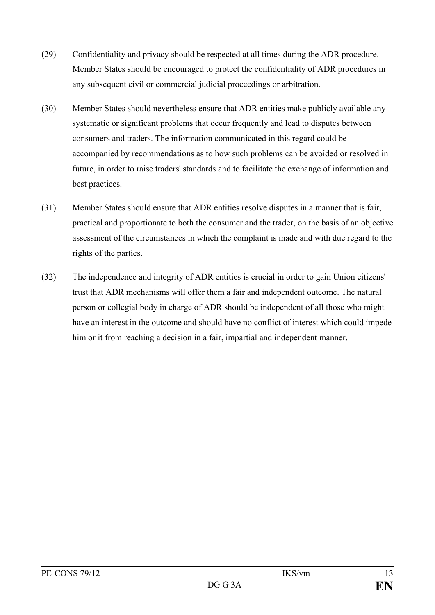- (29) Confidentiality and privacy should be respected at all times during the ADR procedure. Member States should be encouraged to protect the confidentiality of ADR procedures in any subsequent civil or commercial judicial proceedings or arbitration.
- (30) Member States should nevertheless ensure that ADR entities make publicly available any systematic or significant problems that occur frequently and lead to disputes between consumers and traders. The information communicated in this regard could be accompanied by recommendations as to how such problems can be avoided or resolved in future, in order to raise traders' standards and to facilitate the exchange of information and best practices.
- (31) Member States should ensure that ADR entities resolve disputes in a manner that is fair, practical and proportionate to both the consumer and the trader, on the basis of an objective assessment of the circumstances in which the complaint is made and with due regard to the rights of the parties.
- (32) The independence and integrity of ADR entities is crucial in order to gain Union citizens' trust that ADR mechanisms will offer them a fair and independent outcome. The natural person or collegial body in charge of ADR should be independent of all those who might have an interest in the outcome and should have no conflict of interest which could impede him or it from reaching a decision in a fair, impartial and independent manner.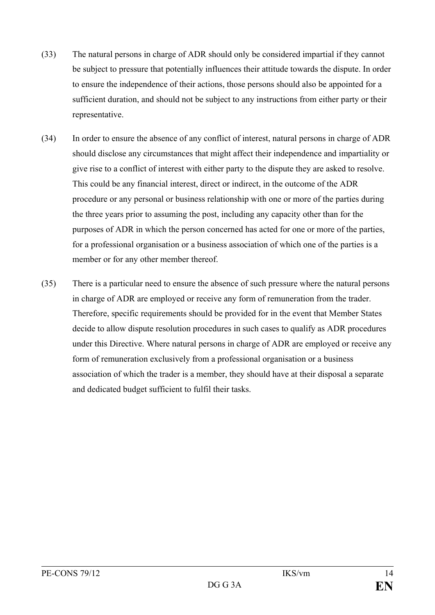- (33) The natural persons in charge of ADR should only be considered impartial if they cannot be subject to pressure that potentially influences their attitude towards the dispute. In order to ensure the independence of their actions, those persons should also be appointed for a sufficient duration, and should not be subject to any instructions from either party or their representative.
- (34) In order to ensure the absence of any conflict of interest, natural persons in charge of ADR should disclose any circumstances that might affect their independence and impartiality or give rise to a conflict of interest with either party to the dispute they are asked to resolve. This could be any financial interest, direct or indirect, in the outcome of the ADR procedure or any personal or business relationship with one or more of the parties during the three years prior to assuming the post, including any capacity other than for the purposes of ADR in which the person concerned has acted for one or more of the parties, for a professional organisation or a business association of which one of the parties is a member or for any other member thereof.
- (35) There is a particular need to ensure the absence of such pressure where the natural persons in charge of ADR are employed or receive any form of remuneration from the trader. Therefore, specific requirements should be provided for in the event that Member States decide to allow dispute resolution procedures in such cases to qualify as ADR procedures under this Directive. Where natural persons in charge of ADR are employed or receive any form of remuneration exclusively from a professional organisation or a business association of which the trader is a member, they should have at their disposal a separate and dedicated budget sufficient to fulfil their tasks.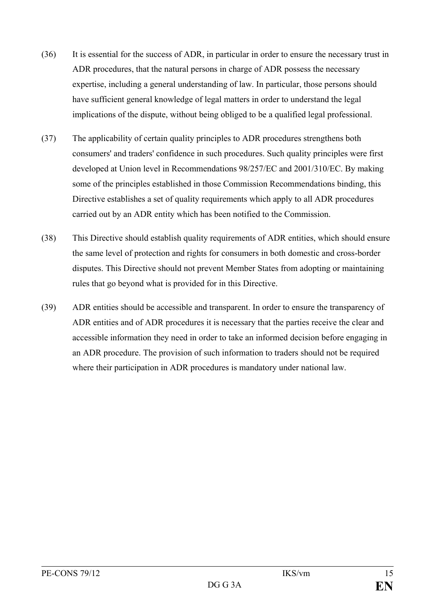- (36) It is essential for the success of ADR, in particular in order to ensure the necessary trust in ADR procedures, that the natural persons in charge of ADR possess the necessary expertise, including a general understanding of law. In particular, those persons should have sufficient general knowledge of legal matters in order to understand the legal implications of the dispute, without being obliged to be a qualified legal professional.
- (37) The applicability of certain quality principles to ADR procedures strengthens both consumers' and traders' confidence in such procedures. Such quality principles were first developed at Union level in Recommendations 98/257/EC and 2001/310/EC. By making some of the principles established in those Commission Recommendations binding, this Directive establishes a set of quality requirements which apply to all ADR procedures carried out by an ADR entity which has been notified to the Commission.
- (38) This Directive should establish quality requirements of ADR entities, which should ensure the same level of protection and rights for consumers in both domestic and cross-border disputes. This Directive should not prevent Member States from adopting or maintaining rules that go beyond what is provided for in this Directive.
- (39) ADR entities should be accessible and transparent. In order to ensure the transparency of ADR entities and of ADR procedures it is necessary that the parties receive the clear and accessible information they need in order to take an informed decision before engaging in an ADR procedure. The provision of such information to traders should not be required where their participation in ADR procedures is mandatory under national law.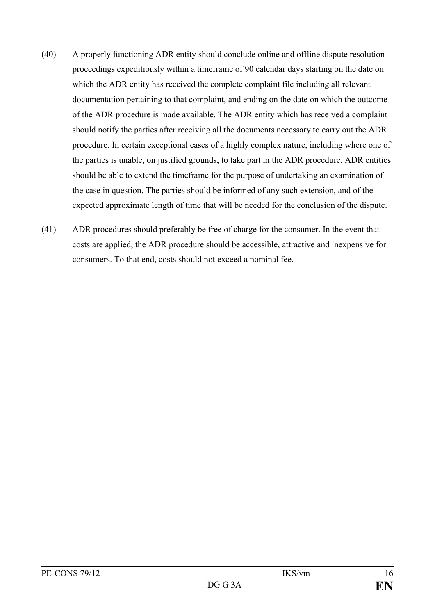- (40) A properly functioning ADR entity should conclude online and offline dispute resolution proceedings expeditiously within a timeframe of 90 calendar days starting on the date on which the ADR entity has received the complete complaint file including all relevant documentation pertaining to that complaint, and ending on the date on which the outcome of the ADR procedure is made available. The ADR entity which has received a complaint should notify the parties after receiving all the documents necessary to carry out the ADR procedure. In certain exceptional cases of a highly complex nature, including where one of the parties is unable, on justified grounds, to take part in the ADR procedure, ADR entities should be able to extend the timeframe for the purpose of undertaking an examination of the case in question. The parties should be informed of any such extension, and of the expected approximate length of time that will be needed for the conclusion of the dispute.
- (41) ADR procedures should preferably be free of charge for the consumer. In the event that costs are applied, the ADR procedure should be accessible, attractive and inexpensive for consumers. To that end, costs should not exceed a nominal fee.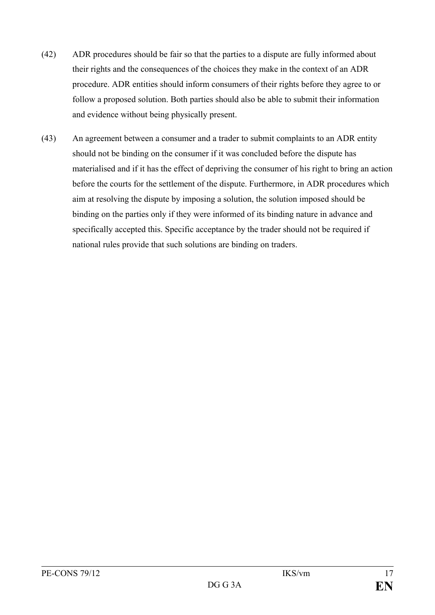- (42) ADR procedures should be fair so that the parties to a dispute are fully informed about their rights and the consequences of the choices they make in the context of an ADR procedure. ADR entities should inform consumers of their rights before they agree to or follow a proposed solution. Both parties should also be able to submit their information and evidence without being physically present.
- (43) An agreement between a consumer and a trader to submit complaints to an ADR entity should not be binding on the consumer if it was concluded before the dispute has materialised and if it has the effect of depriving the consumer of his right to bring an action before the courts for the settlement of the dispute. Furthermore, in ADR procedures which aim at resolving the dispute by imposing a solution, the solution imposed should be binding on the parties only if they were informed of its binding nature in advance and specifically accepted this. Specific acceptance by the trader should not be required if national rules provide that such solutions are binding on traders.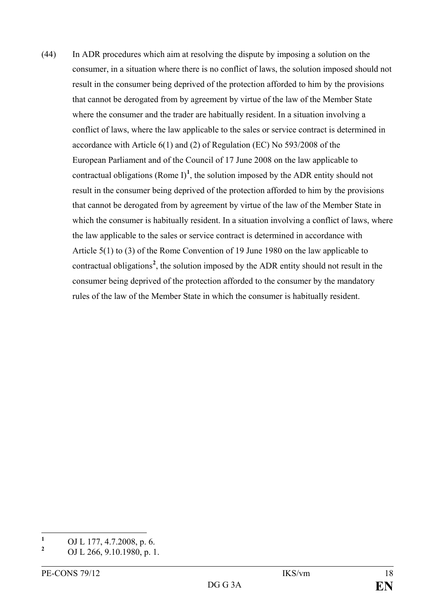(44) In ADR procedures which aim at resolving the dispute by imposing a solution on the consumer, in a situation where there is no conflict of laws, the solution imposed should not result in the consumer being deprived of the protection afforded to him by the provisions that cannot be derogated from by agreement by virtue of the law of the Member State where the consumer and the trader are habitually resident. In a situation involving a conflict of laws, where the law applicable to the sales or service contract is determined in accordance with Article 6(1) and (2) of Regulation (EC) No 593/2008 of the European Parliament and of the Council of 17 June 2008 on the law applicable to contractual obligations (Rome I)<sup>[1](#page-18-0)</sup>, the solution imposed by the ADR entity should not result in the consumer being deprived of the protection afforded to him by the provisions that cannot be derogated from by agreement by virtue of the law of the Member State in which the consumer is habitually resident. In a situation involving a conflict of laws, where the law applicable to the sales or service contract is determined in accordance with Article 5(1) to (3) of the Rome Convention of 19 June 1980 on the law applicable to contractual obligations**[2](#page-18-1)** , the solution imposed by the ADR entity should not result in the consumer being deprived of the protection afforded to the consumer by the mandatory rules of the law of the Member State in which the consumer is habitually resident.

<span id="page-18-0"></span><sup>&</sup>lt;sup>1</sup> OJ L 177, 4.7.2008, p. 6.

<span id="page-18-1"></span>**<sup>2</sup>** OJ L 266, 9.10.1980, p. 1.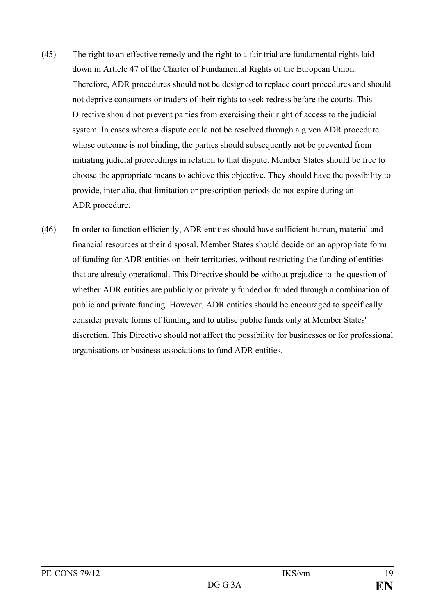- (45) The right to an effective remedy and the right to a fair trial are fundamental rights laid down in Article 47 of the Charter of Fundamental Rights of the European Union. Therefore, ADR procedures should not be designed to replace court procedures and should not deprive consumers or traders of their rights to seek redress before the courts. This Directive should not prevent parties from exercising their right of access to the judicial system. In cases where a dispute could not be resolved through a given ADR procedure whose outcome is not binding, the parties should subsequently not be prevented from initiating judicial proceedings in relation to that dispute. Member States should be free to choose the appropriate means to achieve this objective. They should have the possibility to provide, inter alia, that limitation or prescription periods do not expire during an ADR procedure.
- (46) In order to function efficiently, ADR entities should have sufficient human, material and financial resources at their disposal. Member States should decide on an appropriate form of funding for ADR entities on their territories, without restricting the funding of entities that are already operational. This Directive should be without prejudice to the question of whether ADR entities are publicly or privately funded or funded through a combination of public and private funding. However, ADR entities should be encouraged to specifically consider private forms of funding and to utilise public funds only at Member States' discretion. This Directive should not affect the possibility for businesses or for professional organisations or business associations to fund ADR entities.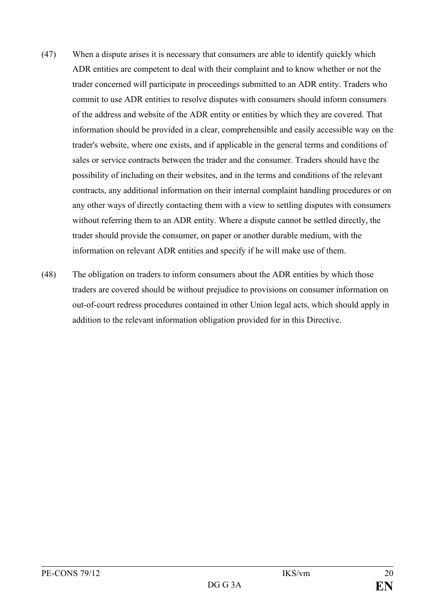- (47) When a dispute arises it is necessary that consumers are able to identify quickly which ADR entities are competent to deal with their complaint and to know whether or not the trader concerned will participate in proceedings submitted to an ADR entity. Traders who commit to use ADR entities to resolve disputes with consumers should inform consumers of the address and website of the ADR entity or entities by which they are covered. That information should be provided in a clear, comprehensible and easily accessible way on the trader's website, where one exists, and if applicable in the general terms and conditions of sales or service contracts between the trader and the consumer. Traders should have the possibility of including on their websites, and in the terms and conditions of the relevant contracts, any additional information on their internal complaint handling procedures or on any other ways of directly contacting them with a view to settling disputes with consumers without referring them to an ADR entity. Where a dispute cannot be settled directly, the trader should provide the consumer, on paper or another durable medium, with the information on relevant ADR entities and specify if he will make use of them.
- (48) The obligation on traders to inform consumers about the ADR entities by which those traders are covered should be without prejudice to provisions on consumer information on out-of-court redress procedures contained in other Union legal acts, which should apply in addition to the relevant information obligation provided for in this Directive.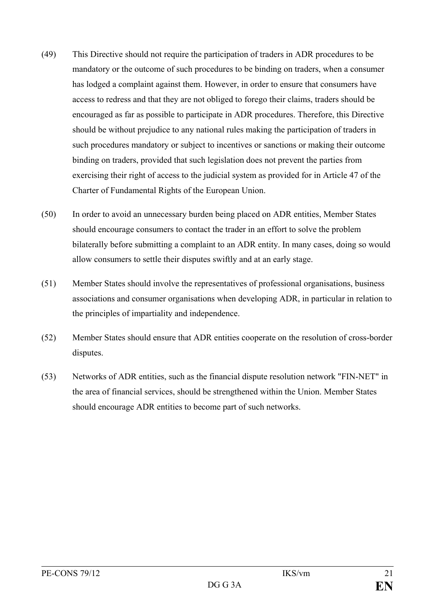- (49) This Directive should not require the participation of traders in ADR procedures to be mandatory or the outcome of such procedures to be binding on traders, when a consumer has lodged a complaint against them. However, in order to ensure that consumers have access to redress and that they are not obliged to forego their claims, traders should be encouraged as far as possible to participate in ADR procedures. Therefore, this Directive should be without prejudice to any national rules making the participation of traders in such procedures mandatory or subject to incentives or sanctions or making their outcome binding on traders, provided that such legislation does not prevent the parties from exercising their right of access to the judicial system as provided for in Article 47 of the Charter of Fundamental Rights of the European Union.
- (50) In order to avoid an unnecessary burden being placed on ADR entities, Member States should encourage consumers to contact the trader in an effort to solve the problem bilaterally before submitting a complaint to an ADR entity. In many cases, doing so would allow consumers to settle their disputes swiftly and at an early stage.
- (51) Member States should involve the representatives of professional organisations, business associations and consumer organisations when developing ADR, in particular in relation to the principles of impartiality and independence.
- (52) Member States should ensure that ADR entities cooperate on the resolution of cross-border disputes.
- (53) Networks of ADR entities, such as the financial dispute resolution network "FIN-NET" in the area of financial services, should be strengthened within the Union. Member States should encourage ADR entities to become part of such networks.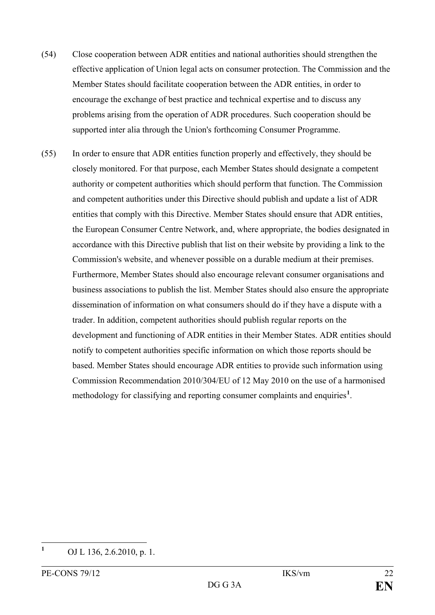- (54) Close cooperation between ADR entities and national authorities should strengthen the effective application of Union legal acts on consumer protection. The Commission and the Member States should facilitate cooperation between the ADR entities, in order to encourage the exchange of best practice and technical expertise and to discuss any problems arising from the operation of ADR procedures. Such cooperation should be supported inter alia through the Union's forthcoming Consumer Programme.
- (55) In order to ensure that ADR entities function properly and effectively, they should be closely monitored. For that purpose, each Member States should designate a competent authority or competent authorities which should perform that function. The Commission and competent authorities under this Directive should publish and update a list of ADR entities that comply with this Directive. Member States should ensure that ADR entities, the European Consumer Centre Network, and, where appropriate, the bodies designated in accordance with this Directive publish that list on their website by providing a link to the Commission's website, and whenever possible on a durable medium at their premises. Furthermore, Member States should also encourage relevant consumer organisations and business associations to publish the list. Member States should also ensure the appropriate dissemination of information on what consumers should do if they have a dispute with a trader. In addition, competent authorities should publish regular reports on the development and functioning of ADR entities in their Member States. ADR entities should notify to competent authorities specific information on which those reports should be based. Member States should encourage ADR entities to provide such information using Commission Recommendation 2010/304/EU of 12 May 2010 on the use of a harmonised methodology for classifying and reporting consumer complaints and enquiries**[1](#page-22-0)** .

<span id="page-22-0"></span>**<sup>1</sup>** OJ L 136, 2.6.2010, p. 1.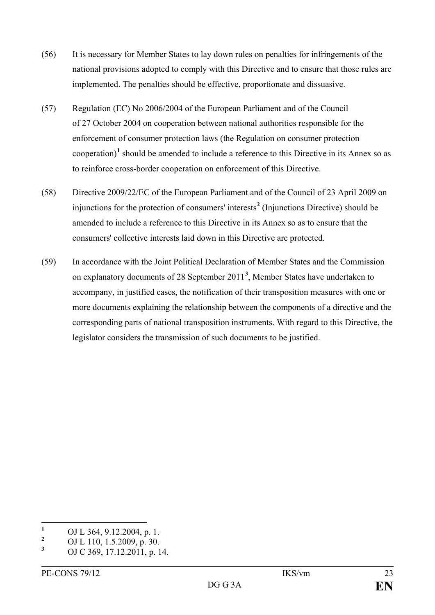- (56) It is necessary for Member States to lay down rules on penalties for infringements of the national provisions adopted to comply with this Directive and to ensure that those rules are implemented. The penalties should be effective, proportionate and dissuasive.
- (57) Regulation (EC) No 2006/2004 of the European Parliament and of the Council of 27 October 2004 on cooperation between national authorities responsible for the enforcement of consumer protection laws (the Regulation on consumer protection cooperation)<sup>[1](#page-23-0)</sup> should be amended to include a reference to this Directive in its Annex so as to reinforce cross-border cooperation on enforcement of this Directive.
- (58) Directive 2009/22/EC of the European Parliament and of the Council of 23 April 2009 on injunctions for the protection of consumers' interests**[2](#page-23-1)** (Injunctions Directive) should be amended to include a reference to this Directive in its Annex so as to ensure that the consumers' collective interests laid down in this Directive are protected.
- (59) In accordance with the Joint Political Declaration of Member States and the Commission on explanatory documents of 28 September 2011**[3](#page-23-2)** , Member States have undertaken to accompany, in justified cases, the notification of their transposition measures with one or more documents explaining the relationship between the components of a directive and the corresponding parts of national transposition instruments. With regard to this Directive, the legislator considers the transmission of such documents to be justified.

<span id="page-23-0"></span><sup>&</sup>lt;sup>1</sup> OJ L 364, 9.12.2004, p. 1.<br><sup>2</sup> OJ L 110, 1.5, 2000, p. 20

<span id="page-23-1"></span><sup>&</sup>lt;sup>2</sup> OJ L 110, 1.5.2009, p. 30.

<span id="page-23-2"></span>**<sup>3</sup>** OJ C 369, 17.12.2011, p. 14.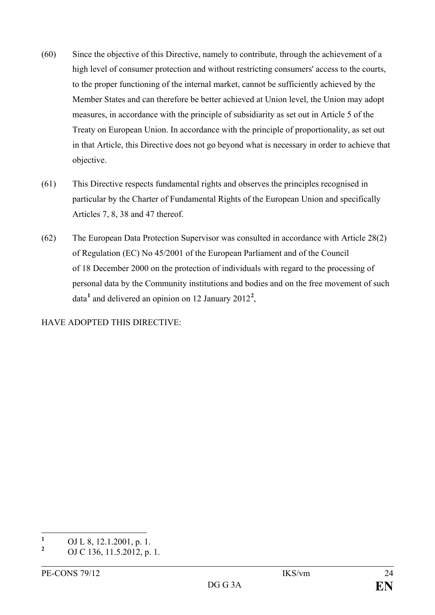- (60) Since the objective of this Directive, namely to contribute, through the achievement of a high level of consumer protection and without restricting consumers' access to the courts, to the proper functioning of the internal market, cannot be sufficiently achieved by the Member States and can therefore be better achieved at Union level, the Union may adopt measures, in accordance with the principle of subsidiarity as set out in Article 5 of the Treaty on European Union. In accordance with the principle of proportionality, as set out in that Article, this Directive does not go beyond what is necessary in order to achieve that objective.
- (61) This Directive respects fundamental rights and observes the principles recognised in particular by the Charter of Fundamental Rights of the European Union and specifically Articles 7, 8, 38 and 47 thereof.
- (62) The European Data Protection Supervisor was consulted in accordance with Article 28(2) of Regulation (EC) No 45/2001 of the European Parliament and of the Council of 18 December 2000 on the protection of individuals with regard to the processing of personal data by the Community institutions and bodies and on the free movement of such data<sup>[1](#page-24-0)</sup> and delivered an opinion on 1[2](#page-24-1) January 2012<sup>2</sup>,

HAVE ADOPTED THIS DIRECTIVE:

<span id="page-24-0"></span><sup>&</sup>lt;sup>1</sup> OJ L 8, 12.1.2001, p. 1.<br><sup>2</sup> OJ C 126, 11.5, 2012

<span id="page-24-1"></span>**<sup>2</sup>** OJ C 136, 11.5.2012, p. 1.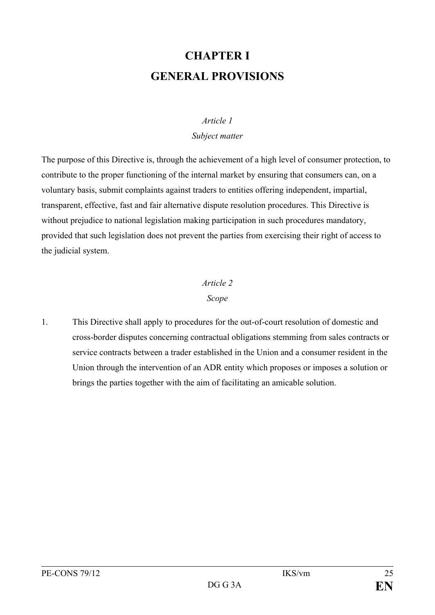# **CHAPTER I GENERAL PROVISIONS**

#### *Article 1*

#### *Subject matter*

The purpose of this Directive is, through the achievement of a high level of consumer protection, to contribute to the proper functioning of the internal market by ensuring that consumers can, on a voluntary basis, submit complaints against traders to entities offering independent, impartial, transparent, effective, fast and fair alternative dispute resolution procedures. This Directive is without prejudice to national legislation making participation in such procedures mandatory, provided that such legislation does not prevent the parties from exercising their right of access to the judicial system.

# *Article 2 Scope*

1. This Directive shall apply to procedures for the out-of-court resolution of domestic and cross-border disputes concerning contractual obligations stemming from sales contracts or service contracts between a trader established in the Union and a consumer resident in the Union through the intervention of an ADR entity which proposes or imposes a solution or brings the parties together with the aim of facilitating an amicable solution.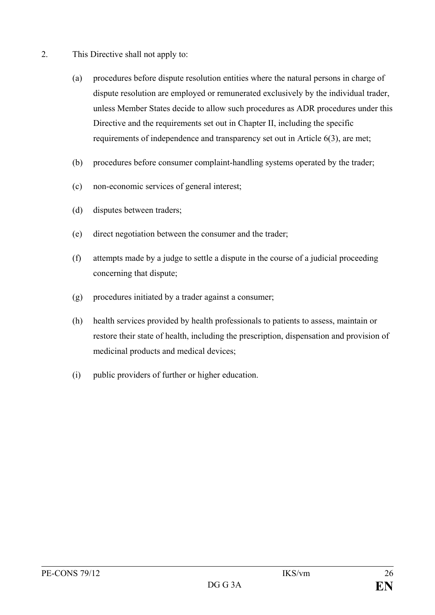- 2. This Directive shall not apply to:
	- (a) procedures before dispute resolution entities where the natural persons in charge of dispute resolution are employed or remunerated exclusively by the individual trader, unless Member States decide to allow such procedures as ADR procedures under this Directive and the requirements set out in Chapter II, including the specific requirements of independence and transparency set out in Article 6(3), are met;
	- (b) procedures before consumer complaint-handling systems operated by the trader;
	- (c) non-economic services of general interest;
	- (d) disputes between traders;
	- (e) direct negotiation between the consumer and the trader;
	- (f) attempts made by a judge to settle a dispute in the course of a judicial proceeding concerning that dispute;
	- (g) procedures initiated by a trader against a consumer;
	- (h) health services provided by health professionals to patients to assess, maintain or restore their state of health, including the prescription, dispensation and provision of medicinal products and medical devices;
	- (i) public providers of further or higher education.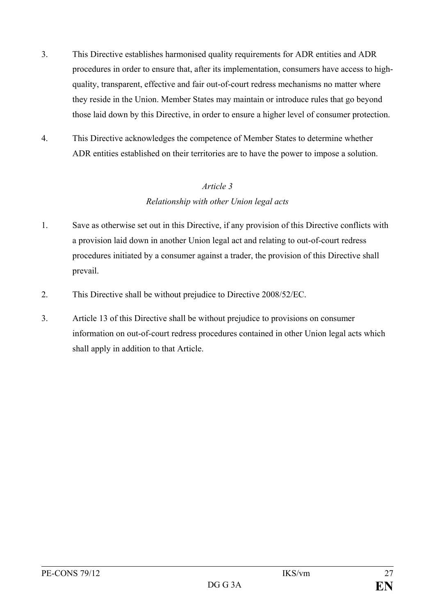- 3. This Directive establishes harmonised quality requirements for ADR entities and ADR procedures in order to ensure that, after its implementation, consumers have access to highquality, transparent, effective and fair out-of-court redress mechanisms no matter where they reside in the Union. Member States may maintain or introduce rules that go beyond those laid down by this Directive, in order to ensure a higher level of consumer protection.
- 4. This Directive acknowledges the competence of Member States to determine whether ADR entities established on their territories are to have the power to impose a solution.

### *Article 3 Relationship with other Union legal acts*

- 1. Save as otherwise set out in this Directive, if any provision of this Directive conflicts with a provision laid down in another Union legal act and relating to out-of-court redress procedures initiated by a consumer against a trader, the provision of this Directive shall prevail.
- 2. This Directive shall be without prejudice to Directive 2008/52/EC.
- 3. Article 13 of this Directive shall be without prejudice to provisions on consumer information on out-of-court redress procedures contained in other Union legal acts which shall apply in addition to that Article.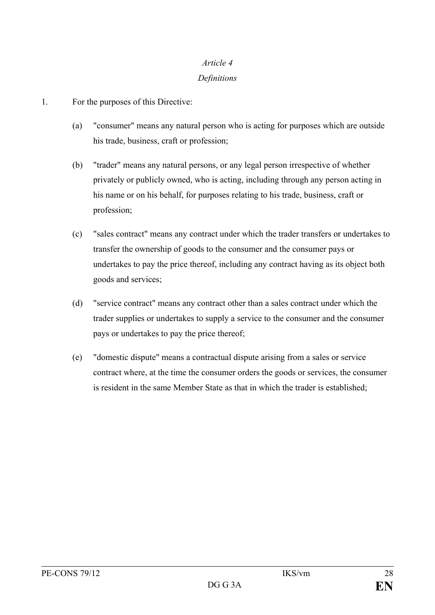# *Article 4 Definitions*

- 1. For the purposes of this Directive:
	- (a) "consumer" means any natural person who is acting for purposes which are outside his trade, business, craft or profession;
	- (b) "trader" means any natural persons, or any legal person irrespective of whether privately or publicly owned, who is acting, including through any person acting in his name or on his behalf, for purposes relating to his trade, business, craft or profession;
	- (c) "sales contract" means any contract under which the trader transfers or undertakes to transfer the ownership of goods to the consumer and the consumer pays or undertakes to pay the price thereof, including any contract having as its object both goods and services;
	- (d) "service contract" means any contract other than a sales contract under which the trader supplies or undertakes to supply a service to the consumer and the consumer pays or undertakes to pay the price thereof;
	- (e) "domestic dispute" means a contractual dispute arising from a sales or service contract where, at the time the consumer orders the goods or services, the consumer is resident in the same Member State as that in which the trader is established;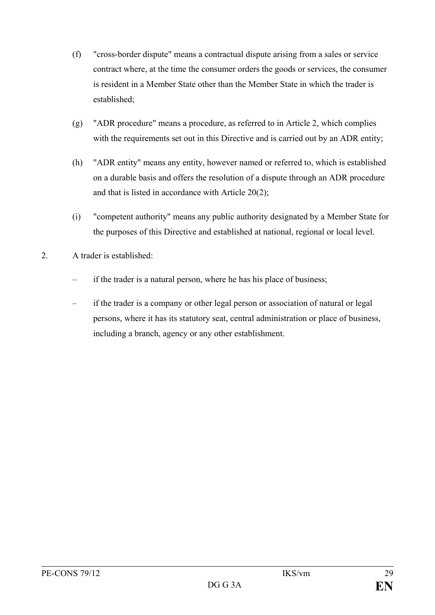- (f) "cross-border dispute" means a contractual dispute arising from a sales or service contract where, at the time the consumer orders the goods or services, the consumer is resident in a Member State other than the Member State in which the trader is established;
- (g) "ADR procedure" means a procedure, as referred to in Article 2, which complies with the requirements set out in this Directive and is carried out by an ADR entity;
- (h) "ADR entity" means any entity, however named or referred to, which is established on a durable basis and offers the resolution of a dispute through an ADR procedure and that is listed in accordance with Article 20(2);
- (i) "competent authority" means any public authority designated by a Member State for the purposes of this Directive and established at national, regional or local level.
- 2. A trader is established:
	- if the trader is a natural person, where he has his place of business;
	- if the trader is a company or other legal person or association of natural or legal persons, where it has its statutory seat, central administration or place of business, including a branch, agency or any other establishment.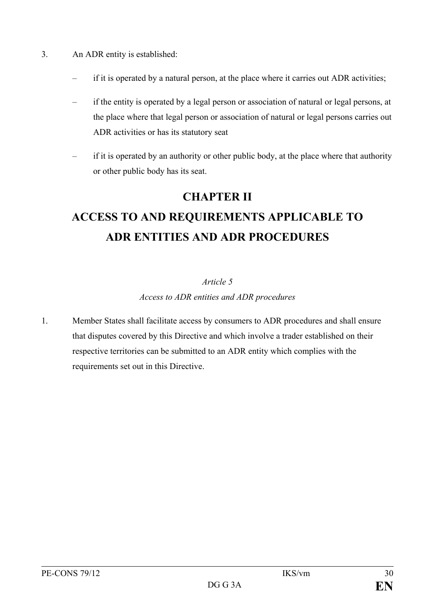- 3. An ADR entity is established:
	- if it is operated by a natural person, at the place where it carries out ADR activities;
	- if the entity is operated by a legal person or association of natural or legal persons, at the place where that legal person or association of natural or legal persons carries out ADR activities or has its statutory seat
	- if it is operated by an authority or other public body, at the place where that authority or other public body has its seat.

# **CHAPTER II ACCESS TO AND REQUIREMENTS APPLICABLE TO ADR ENTITIES AND ADR PROCEDURES**

#### *Article 5*

*Access to ADR entities and ADR procedures*

1. Member States shall facilitate access by consumers to ADR procedures and shall ensure that disputes covered by this Directive and which involve a trader established on their respective territories can be submitted to an ADR entity which complies with the requirements set out in this Directive.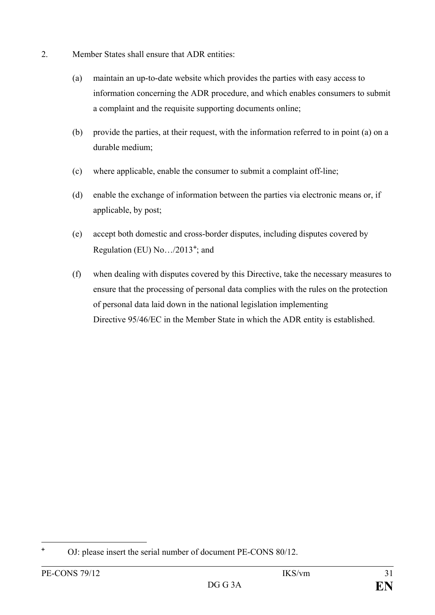- 2. Member States shall ensure that ADR entities:
	- (a) maintain an up-to-date website which provides the parties with easy access to information concerning the ADR procedure, and which enables consumers to submit a complaint and the requisite supporting documents online;
	- (b) provide the parties, at their request, with the information referred to in point (a) on a durable medium;
	- (c) where applicable, enable the consumer to submit a complaint off-line;
	- (d) enable the exchange of information between the parties via electronic means or, if applicable, by post;
	- (e) accept both domestic and cross-border disputes, including disputes covered by Regulation (EU) No.../2013<sup>[+](#page-31-0)</sup>; and
	- (f) when dealing with disputes covered by this Directive, take the necessary measures to ensure that the processing of personal data complies with the rules on the protection of personal data laid down in the national legislation implementing Directive 95/46/EC in the Member State in which the ADR entity is established.

<span id="page-31-0"></span><sup>+</sup> OJ: please insert the serial number of document PE-CONS 80/12.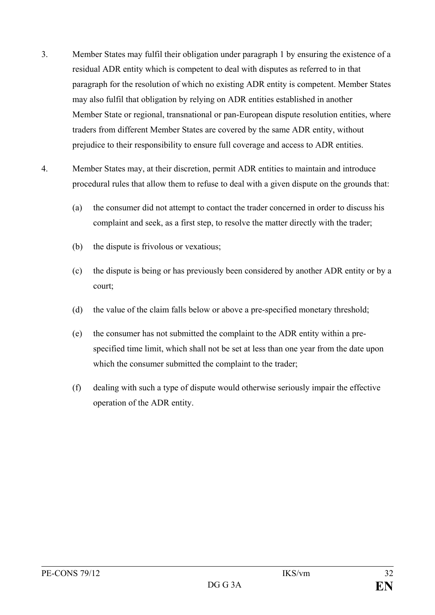- 3. Member States may fulfil their obligation under paragraph 1 by ensuring the existence of a residual ADR entity which is competent to deal with disputes as referred to in that paragraph for the resolution of which no existing ADR entity is competent. Member States may also fulfil that obligation by relying on ADR entities established in another Member State or regional, transnational or pan-European dispute resolution entities, where traders from different Member States are covered by the same ADR entity, without prejudice to their responsibility to ensure full coverage and access to ADR entities.
- 4. Member States may, at their discretion, permit ADR entities to maintain and introduce procedural rules that allow them to refuse to deal with a given dispute on the grounds that:
	- (a) the consumer did not attempt to contact the trader concerned in order to discuss his complaint and seek, as a first step, to resolve the matter directly with the trader;
	- (b) the dispute is frivolous or vexatious;
	- (c) the dispute is being or has previously been considered by another ADR entity or by a court;
	- (d) the value of the claim falls below or above a pre-specified monetary threshold;
	- (e) the consumer has not submitted the complaint to the ADR entity within a prespecified time limit, which shall not be set at less than one year from the date upon which the consumer submitted the complaint to the trader;
	- (f) dealing with such a type of dispute would otherwise seriously impair the effective operation of the ADR entity.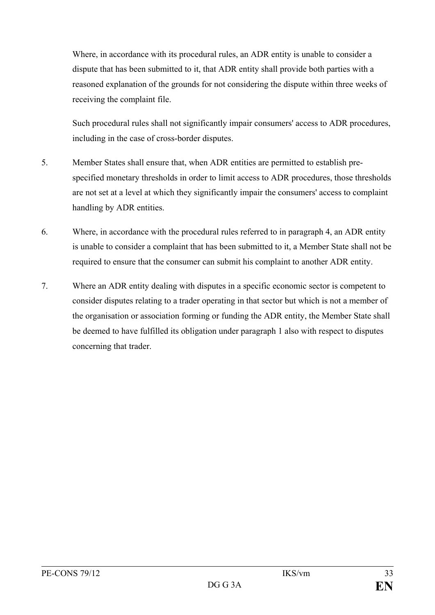Where, in accordance with its procedural rules, an ADR entity is unable to consider a dispute that has been submitted to it, that ADR entity shall provide both parties with a reasoned explanation of the grounds for not considering the dispute within three weeks of receiving the complaint file.

Such procedural rules shall not significantly impair consumers' access to ADR procedures, including in the case of cross-border disputes.

- 5. Member States shall ensure that, when ADR entities are permitted to establish prespecified monetary thresholds in order to limit access to ADR procedures, those thresholds are not set at a level at which they significantly impair the consumers' access to complaint handling by ADR entities.
- 6. Where, in accordance with the procedural rules referred to in paragraph 4, an ADR entity is unable to consider a complaint that has been submitted to it, a Member State shall not be required to ensure that the consumer can submit his complaint to another ADR entity.
- 7. Where an ADR entity dealing with disputes in a specific economic sector is competent to consider disputes relating to a trader operating in that sector but which is not a member of the organisation or association forming or funding the ADR entity, the Member State shall be deemed to have fulfilled its obligation under paragraph 1 also with respect to disputes concerning that trader.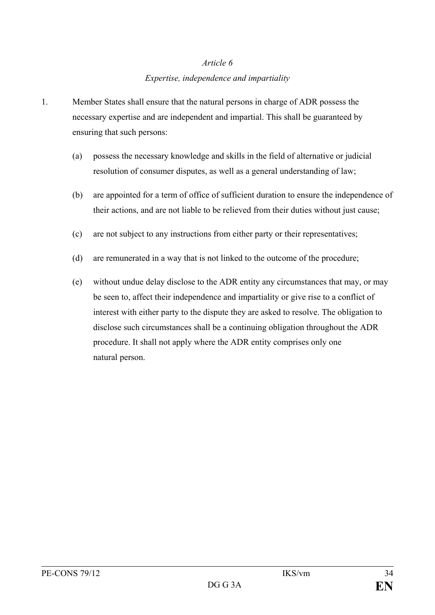#### *Expertise, independence and impartiality*

- 1. Member States shall ensure that the natural persons in charge of ADR possess the necessary expertise and are independent and impartial. This shall be guaranteed by ensuring that such persons:
	- (a) possess the necessary knowledge and skills in the field of alternative or judicial resolution of consumer disputes, as well as a general understanding of law;
	- (b) are appointed for a term of office of sufficient duration to ensure the independence of their actions, and are not liable to be relieved from their duties without just cause;
	- (c) are not subject to any instructions from either party or their representatives;
	- (d) are remunerated in a way that is not linked to the outcome of the procedure;
	- (e) without undue delay disclose to the ADR entity any circumstances that may, or may be seen to, affect their independence and impartiality or give rise to a conflict of interest with either party to the dispute they are asked to resolve. The obligation to disclose such circumstances shall be a continuing obligation throughout the ADR procedure. It shall not apply where the ADR entity comprises only one natural person.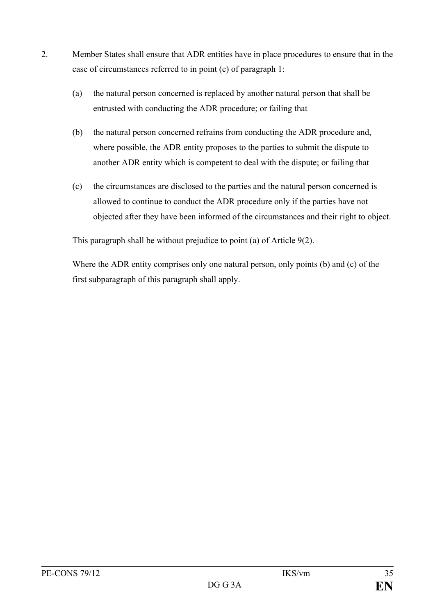- 2. Member States shall ensure that ADR entities have in place procedures to ensure that in the case of circumstances referred to in point (e) of paragraph 1:
	- (a) the natural person concerned is replaced by another natural person that shall be entrusted with conducting the ADR procedure; or failing that
	- (b) the natural person concerned refrains from conducting the ADR procedure and, where possible, the ADR entity proposes to the parties to submit the dispute to another ADR entity which is competent to deal with the dispute; or failing that
	- (c) the circumstances are disclosed to the parties and the natural person concerned is allowed to continue to conduct the ADR procedure only if the parties have not objected after they have been informed of the circumstances and their right to object.

This paragraph shall be without prejudice to point (a) of Article 9(2).

Where the ADR entity comprises only one natural person, only points (b) and (c) of the first subparagraph of this paragraph shall apply.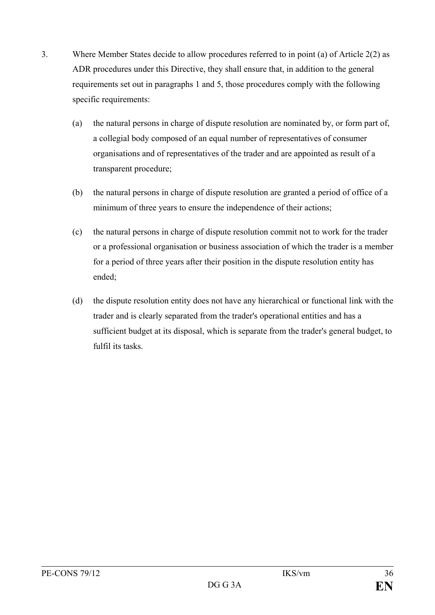- 3. Where Member States decide to allow procedures referred to in point (a) of Article 2(2) as ADR procedures under this Directive, they shall ensure that, in addition to the general requirements set out in paragraphs 1 and 5, those procedures comply with the following specific requirements:
	- (a) the natural persons in charge of dispute resolution are nominated by, or form part of, a collegial body composed of an equal number of representatives of consumer organisations and of representatives of the trader and are appointed as result of a transparent procedure;
	- (b) the natural persons in charge of dispute resolution are granted a period of office of a minimum of three years to ensure the independence of their actions;
	- (c) the natural persons in charge of dispute resolution commit not to work for the trader or a professional organisation or business association of which the trader is a member for a period of three years after their position in the dispute resolution entity has ended;
	- (d) the dispute resolution entity does not have any hierarchical or functional link with the trader and is clearly separated from the trader's operational entities and has a sufficient budget at its disposal, which is separate from the trader's general budget, to fulfil its tasks.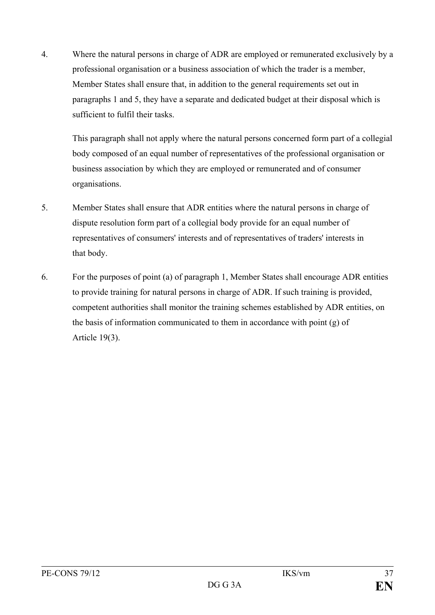4. Where the natural persons in charge of ADR are employed or remunerated exclusively by a professional organisation or a business association of which the trader is a member, Member States shall ensure that, in addition to the general requirements set out in paragraphs 1 and 5, they have a separate and dedicated budget at their disposal which is sufficient to fulfil their tasks.

This paragraph shall not apply where the natural persons concerned form part of a collegial body composed of an equal number of representatives of the professional organisation or business association by which they are employed or remunerated and of consumer organisations.

- 5. Member States shall ensure that ADR entities where the natural persons in charge of dispute resolution form part of a collegial body provide for an equal number of representatives of consumers' interests and of representatives of traders' interests in that body.
- 6. For the purposes of point (a) of paragraph 1, Member States shall encourage ADR entities to provide training for natural persons in charge of ADR. If such training is provided, competent authorities shall monitor the training schemes established by ADR entities, on the basis of information communicated to them in accordance with point (g) of Article 19(3).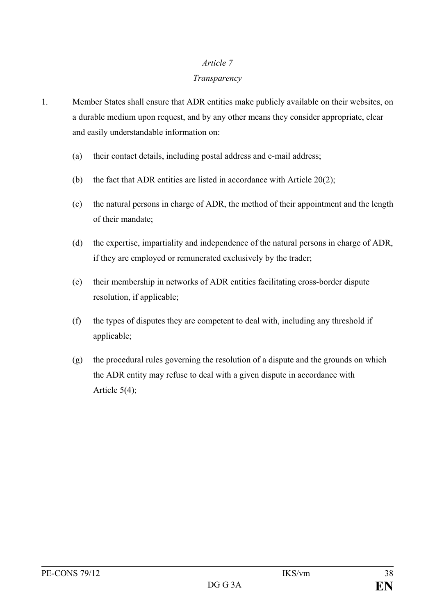#### *Transparency*

1. Member States shall ensure that ADR entities make publicly available on their websites, on a durable medium upon request, and by any other means they consider appropriate, clear and easily understandable information on:

- (a) their contact details, including postal address and e-mail address;
- (b) the fact that ADR entities are listed in accordance with Article 20(2);
- (c) the natural persons in charge of ADR, the method of their appointment and the length of their mandate;
- (d) the expertise, impartiality and independence of the natural persons in charge of ADR, if they are employed or remunerated exclusively by the trader;
- (e) their membership in networks of ADR entities facilitating cross-border dispute resolution, if applicable;
- (f) the types of disputes they are competent to deal with, including any threshold if applicable;
- (g) the procedural rules governing the resolution of a dispute and the grounds on which the ADR entity may refuse to deal with a given dispute in accordance with Article 5(4);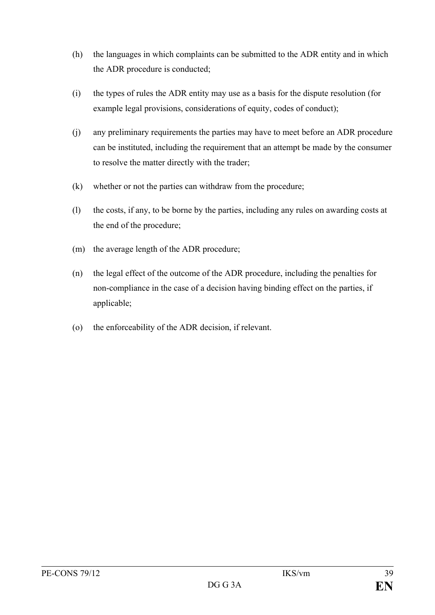- (h) the languages in which complaints can be submitted to the ADR entity and in which the ADR procedure is conducted;
- (i) the types of rules the ADR entity may use as a basis for the dispute resolution (for example legal provisions, considerations of equity, codes of conduct);
- (j) any preliminary requirements the parties may have to meet before an ADR procedure can be instituted, including the requirement that an attempt be made by the consumer to resolve the matter directly with the trader;
- (k) whether or not the parties can withdraw from the procedure;
- (l) the costs, if any, to be borne by the parties, including any rules on awarding costs at the end of the procedure;
- (m) the average length of the ADR procedure;
- (n) the legal effect of the outcome of the ADR procedure, including the penalties for non-compliance in the case of a decision having binding effect on the parties, if applicable;
- (o) the enforceability of the ADR decision, if relevant.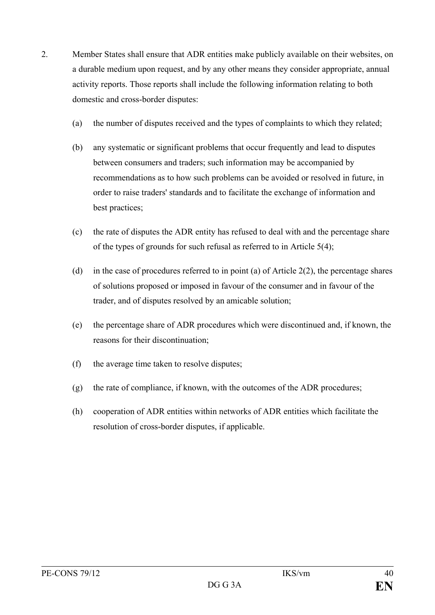- 2. Member States shall ensure that ADR entities make publicly available on their websites, on a durable medium upon request, and by any other means they consider appropriate, annual activity reports. Those reports shall include the following information relating to both domestic and cross-border disputes:
	- (a) the number of disputes received and the types of complaints to which they related;
	- (b) any systematic or significant problems that occur frequently and lead to disputes between consumers and traders; such information may be accompanied by recommendations as to how such problems can be avoided or resolved in future, in order to raise traders' standards and to facilitate the exchange of information and best practices;
	- (c) the rate of disputes the ADR entity has refused to deal with and the percentage share of the types of grounds for such refusal as referred to in Article 5(4);
	- (d) in the case of procedures referred to in point (a) of Article  $2(2)$ , the percentage shares of solutions proposed or imposed in favour of the consumer and in favour of the trader, and of disputes resolved by an amicable solution;
	- (e) the percentage share of ADR procedures which were discontinued and, if known, the reasons for their discontinuation;
	- (f) the average time taken to resolve disputes;
	- (g) the rate of compliance, if known, with the outcomes of the ADR procedures;
	- (h) cooperation of ADR entities within networks of ADR entities which facilitate the resolution of cross-border disputes, if applicable.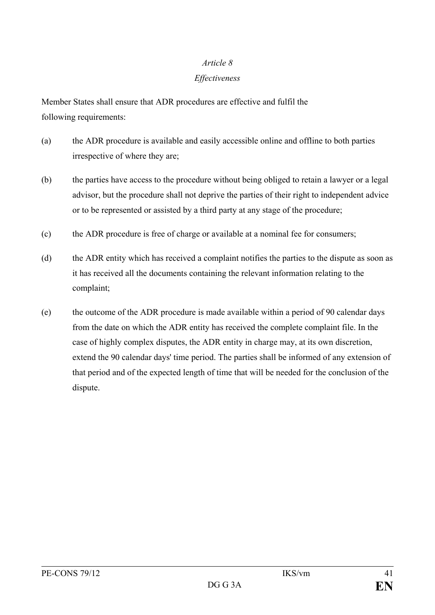#### *Effectiveness*

Member States shall ensure that ADR procedures are effective and fulfil the following requirements:

- (a) the ADR procedure is available and easily accessible online and offline to both parties irrespective of where they are;
- (b) the parties have access to the procedure without being obliged to retain a lawyer or a legal advisor, but the procedure shall not deprive the parties of their right to independent advice or to be represented or assisted by a third party at any stage of the procedure;
- (c) the ADR procedure is free of charge or available at a nominal fee for consumers;
- (d) the ADR entity which has received a complaint notifies the parties to the dispute as soon as it has received all the documents containing the relevant information relating to the complaint;
- (e) the outcome of the ADR procedure is made available within a period of 90 calendar days from the date on which the ADR entity has received the complete complaint file. In the case of highly complex disputes, the ADR entity in charge may, at its own discretion, extend the 90 calendar days' time period. The parties shall be informed of any extension of that period and of the expected length of time that will be needed for the conclusion of the dispute.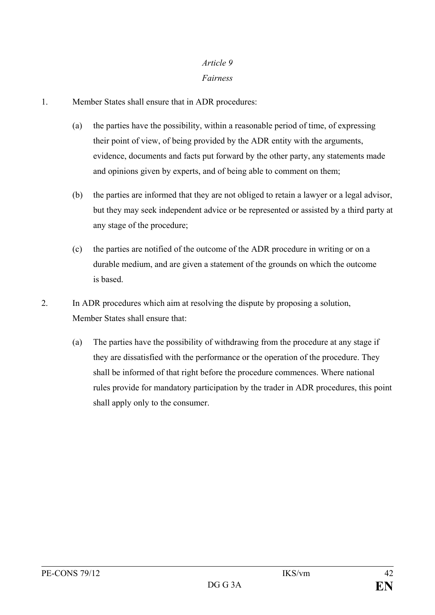#### *Article 9 Fairness*

#### 1. Member States shall ensure that in ADR procedures:

- (a) the parties have the possibility, within a reasonable period of time, of expressing their point of view, of being provided by the ADR entity with the arguments, evidence, documents and facts put forward by the other party, any statements made and opinions given by experts, and of being able to comment on them;
- (b) the parties are informed that they are not obliged to retain a lawyer or a legal advisor, but they may seek independent advice or be represented or assisted by a third party at any stage of the procedure;
- (c) the parties are notified of the outcome of the ADR procedure in writing or on a durable medium, and are given a statement of the grounds on which the outcome is based.
- 2. In ADR procedures which aim at resolving the dispute by proposing a solution, Member States shall ensure that:
	- (a) The parties have the possibility of withdrawing from the procedure at any stage if they are dissatisfied with the performance or the operation of the procedure. They shall be informed of that right before the procedure commences. Where national rules provide for mandatory participation by the trader in ADR procedures, this point shall apply only to the consumer.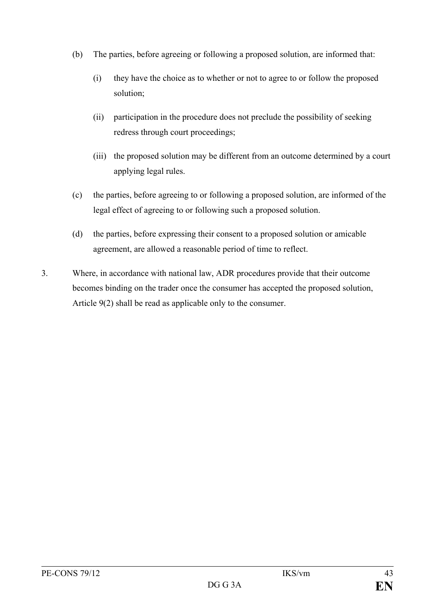- (b) The parties, before agreeing or following a proposed solution, are informed that:
	- (i) they have the choice as to whether or not to agree to or follow the proposed solution;
	- (ii) participation in the procedure does not preclude the possibility of seeking redress through court proceedings;
	- (iii) the proposed solution may be different from an outcome determined by a court applying legal rules.
- (c) the parties, before agreeing to or following a proposed solution, are informed of the legal effect of agreeing to or following such a proposed solution.
- (d) the parties, before expressing their consent to a proposed solution or amicable agreement, are allowed a reasonable period of time to reflect.
- 3. Where, in accordance with national law, ADR procedures provide that their outcome becomes binding on the trader once the consumer has accepted the proposed solution, Article 9(2) shall be read as applicable only to the consumer.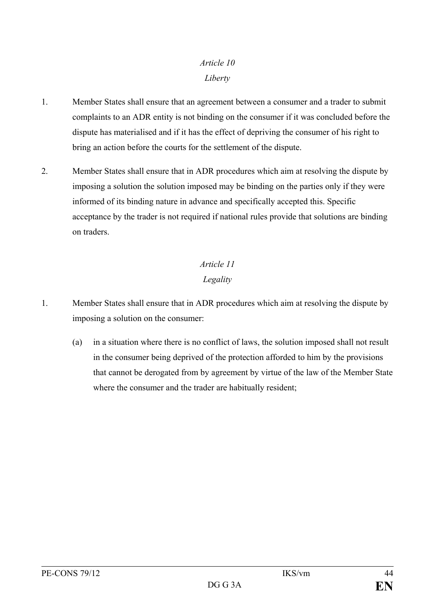# *Article 10 Liberty*

- 1. Member States shall ensure that an agreement between a consumer and a trader to submit complaints to an ADR entity is not binding on the consumer if it was concluded before the dispute has materialised and if it has the effect of depriving the consumer of his right to bring an action before the courts for the settlement of the dispute.
- 2. Member States shall ensure that in ADR procedures which aim at resolving the dispute by imposing a solution the solution imposed may be binding on the parties only if they were informed of its binding nature in advance and specifically accepted this. Specific acceptance by the trader is not required if national rules provide that solutions are binding on traders.

# *Article 11 Legality*

- 1. Member States shall ensure that in ADR procedures which aim at resolving the dispute by imposing a solution on the consumer:
	- (a) in a situation where there is no conflict of laws, the solution imposed shall not result in the consumer being deprived of the protection afforded to him by the provisions that cannot be derogated from by agreement by virtue of the law of the Member State where the consumer and the trader are habitually resident;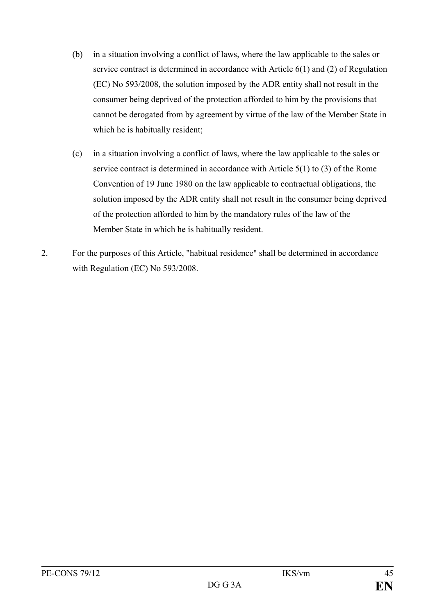- (b) in a situation involving a conflict of laws, where the law applicable to the sales or service contract is determined in accordance with Article 6(1) and (2) of Regulation (EC) No 593/2008, the solution imposed by the ADR entity shall not result in the consumer being deprived of the protection afforded to him by the provisions that cannot be derogated from by agreement by virtue of the law of the Member State in which he is habitually resident;
- (c) in a situation involving a conflict of laws, where the law applicable to the sales or service contract is determined in accordance with Article 5(1) to (3) of the Rome Convention of 19 June 1980 on the law applicable to contractual obligations, the solution imposed by the ADR entity shall not result in the consumer being deprived of the protection afforded to him by the mandatory rules of the law of the Member State in which he is habitually resident.
- 2. For the purposes of this Article, "habitual residence" shall be determined in accordance with Regulation (EC) No 593/2008.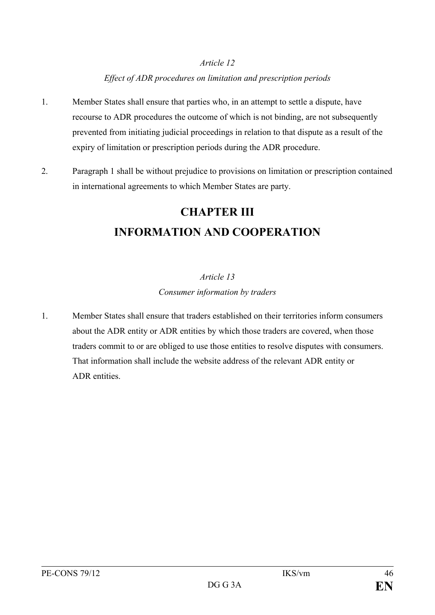#### *Effect of ADR procedures on limitation and prescription periods*

- 1. Member States shall ensure that parties who, in an attempt to settle a dispute, have recourse to ADR procedures the outcome of which is not binding, are not subsequently prevented from initiating judicial proceedings in relation to that dispute as a result of the expiry of limitation or prescription periods during the ADR procedure.
- 2. Paragraph 1 shall be without prejudice to provisions on limitation or prescription contained in international agreements to which Member States are party.

# **CHAPTER III INFORMATION AND COOPERATION**

*Article 13 Consumer information by traders*

1. Member States shall ensure that traders established on their territories inform consumers about the ADR entity or ADR entities by which those traders are covered, when those traders commit to or are obliged to use those entities to resolve disputes with consumers. That information shall include the website address of the relevant ADR entity or ADR entities.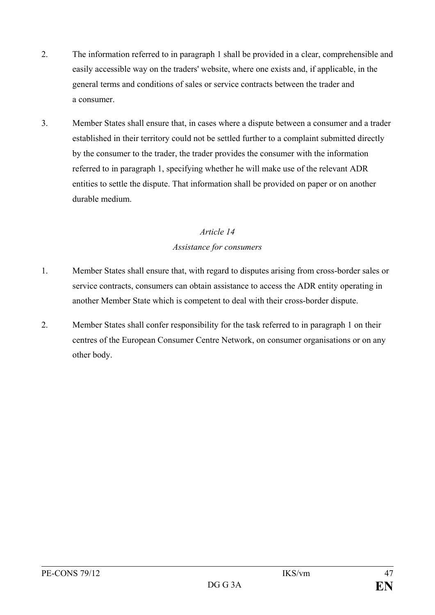- 2. The information referred to in paragraph 1 shall be provided in a clear, comprehensible and easily accessible way on the traders' website, where one exists and, if applicable, in the general terms and conditions of sales or service contracts between the trader and a consumer.
- 3. Member States shall ensure that, in cases where a dispute between a consumer and a trader established in their territory could not be settled further to a complaint submitted directly by the consumer to the trader, the trader provides the consumer with the information referred to in paragraph 1, specifying whether he will make use of the relevant ADR entities to settle the dispute. That information shall be provided on paper or on another durable medium.

# *Article 14 Assistance for consumers*

- 1. Member States shall ensure that, with regard to disputes arising from cross-border sales or service contracts, consumers can obtain assistance to access the ADR entity operating in another Member State which is competent to deal with their cross-border dispute.
- 2. Member States shall confer responsibility for the task referred to in paragraph 1 on their centres of the European Consumer Centre Network, on consumer organisations or on any other body.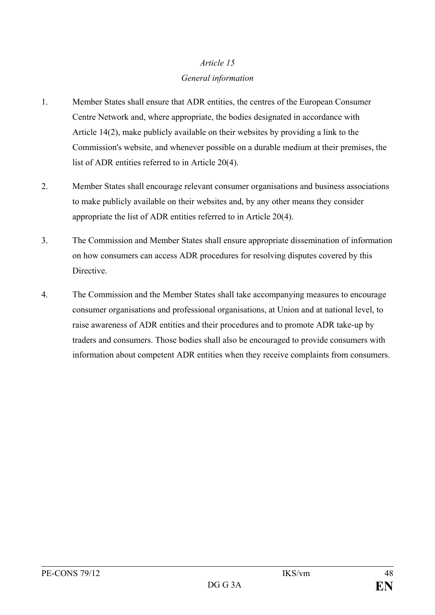# *Article 15 General information*

- 1. Member States shall ensure that ADR entities, the centres of the European Consumer Centre Network and, where appropriate, the bodies designated in accordance with Article 14(2), make publicly available on their websites by providing a link to the Commission's website, and whenever possible on a durable medium at their premises, the list of ADR entities referred to in Article 20(4).
- 2. Member States shall encourage relevant consumer organisations and business associations to make publicly available on their websites and, by any other means they consider appropriate the list of ADR entities referred to in Article 20(4).
- 3. The Commission and Member States shall ensure appropriate dissemination of information on how consumers can access ADR procedures for resolving disputes covered by this **Directive**
- 4. The Commission and the Member States shall take accompanying measures to encourage consumer organisations and professional organisations, at Union and at national level, to raise awareness of ADR entities and their procedures and to promote ADR take-up by traders and consumers. Those bodies shall also be encouraged to provide consumers with information about competent ADR entities when they receive complaints from consumers.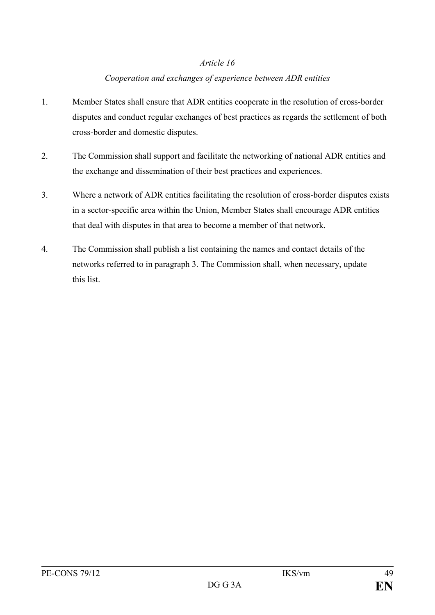#### *Cooperation and exchanges of experience between ADR entities*

- 1. Member States shall ensure that ADR entities cooperate in the resolution of cross-border disputes and conduct regular exchanges of best practices as regards the settlement of both cross-border and domestic disputes.
- 2. The Commission shall support and facilitate the networking of national ADR entities and the exchange and dissemination of their best practices and experiences.
- 3. Where a network of ADR entities facilitating the resolution of cross-border disputes exists in a sector-specific area within the Union, Member States shall encourage ADR entities that deal with disputes in that area to become a member of that network.
- 4. The Commission shall publish a list containing the names and contact details of the networks referred to in paragraph 3. The Commission shall, when necessary, update this list.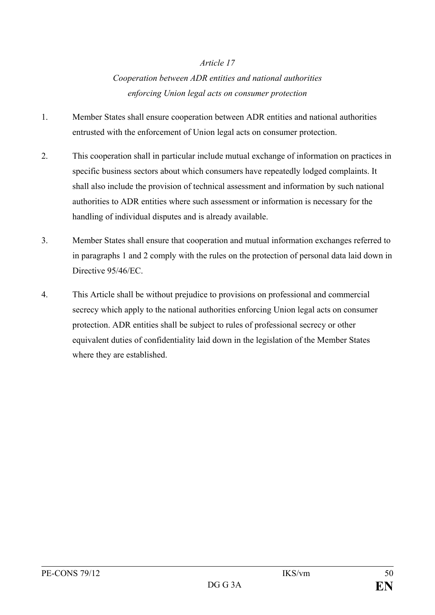### *Cooperation between ADR entities and national authorities enforcing Union legal acts on consumer protection*

- 1. Member States shall ensure cooperation between ADR entities and national authorities entrusted with the enforcement of Union legal acts on consumer protection.
- 2. This cooperation shall in particular include mutual exchange of information on practices in specific business sectors about which consumers have repeatedly lodged complaints. It shall also include the provision of technical assessment and information by such national authorities to ADR entities where such assessment or information is necessary for the handling of individual disputes and is already available.
- 3. Member States shall ensure that cooperation and mutual information exchanges referred to in paragraphs 1 and 2 comply with the rules on the protection of personal data laid down in Directive 95/46/EC.
- 4. This Article shall be without prejudice to provisions on professional and commercial secrecy which apply to the national authorities enforcing Union legal acts on consumer protection. ADR entities shall be subject to rules of professional secrecy or other equivalent duties of confidentiality laid down in the legislation of the Member States where they are established.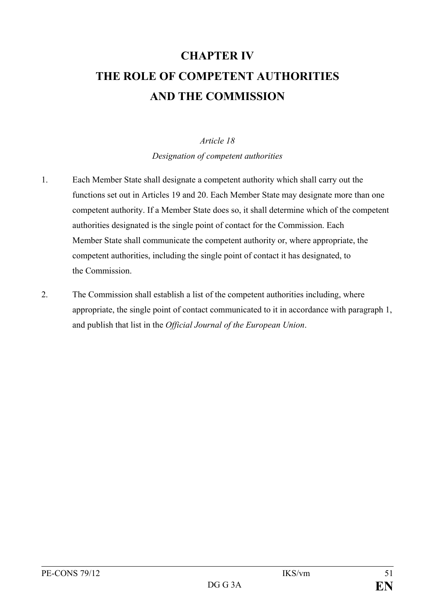# **CHAPTER IV THE ROLE OF COMPETENT AUTHORITIES AND THE COMMISSION**

#### *Article 18*

*Designation of competent authorities*

- 1. Each Member State shall designate a competent authority which shall carry out the functions set out in Articles 19 and 20. Each Member State may designate more than one competent authority. If a Member State does so, it shall determine which of the competent authorities designated is the single point of contact for the Commission. Each Member State shall communicate the competent authority or, where appropriate, the competent authorities, including the single point of contact it has designated, to the Commission.
- 2. The Commission shall establish a list of the competent authorities including, where appropriate, the single point of contact communicated to it in accordance with paragraph 1, and publish that list in the *Official Journal of the European Union*.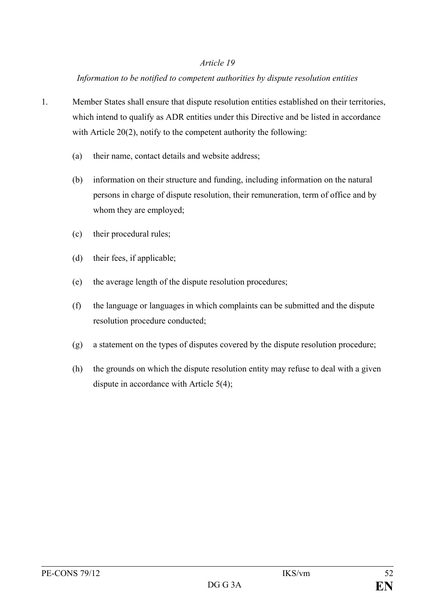#### *Information to be notified to competent authorities by dispute resolution entities*

- 1. Member States shall ensure that dispute resolution entities established on their territories, which intend to qualify as ADR entities under this Directive and be listed in accordance with Article 20(2), notify to the competent authority the following:
	- (a) their name, contact details and website address;
	- (b) information on their structure and funding, including information on the natural persons in charge of dispute resolution, their remuneration, term of office and by whom they are employed;
	- (c) their procedural rules;
	- (d) their fees, if applicable;
	- (e) the average length of the dispute resolution procedures;
	- (f) the language or languages in which complaints can be submitted and the dispute resolution procedure conducted;
	- (g) a statement on the types of disputes covered by the dispute resolution procedure;
	- (h) the grounds on which the dispute resolution entity may refuse to deal with a given dispute in accordance with Article 5(4);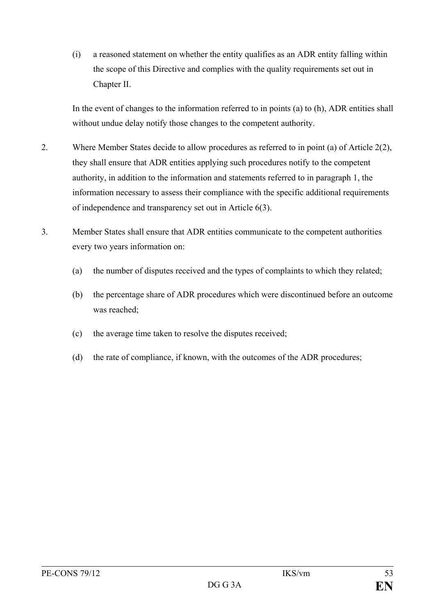(i) a reasoned statement on whether the entity qualifies as an ADR entity falling within the scope of this Directive and complies with the quality requirements set out in Chapter II.

In the event of changes to the information referred to in points (a) to (h), ADR entities shall without undue delay notify those changes to the competent authority.

- 2. Where Member States decide to allow procedures as referred to in point (a) of Article 2(2), they shall ensure that ADR entities applying such procedures notify to the competent authority, in addition to the information and statements referred to in paragraph 1, the information necessary to assess their compliance with the specific additional requirements of independence and transparency set out in Article 6(3).
- 3. Member States shall ensure that ADR entities communicate to the competent authorities every two years information on:
	- (a) the number of disputes received and the types of complaints to which they related;
	- (b) the percentage share of ADR procedures which were discontinued before an outcome was reached;
	- (c) the average time taken to resolve the disputes received;
	- (d) the rate of compliance, if known, with the outcomes of the ADR procedures;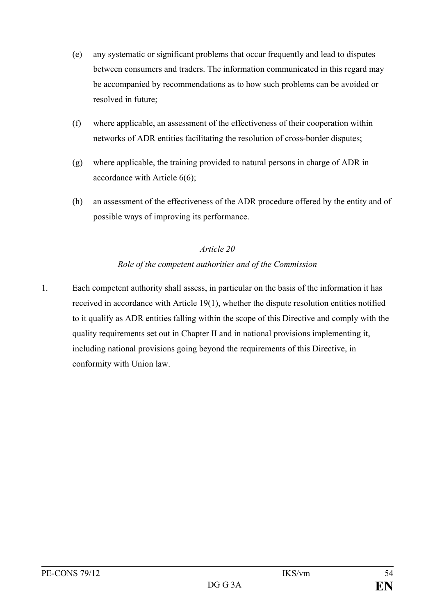- (e) any systematic or significant problems that occur frequently and lead to disputes between consumers and traders. The information communicated in this regard may be accompanied by recommendations as to how such problems can be avoided or resolved in future;
- (f) where applicable, an assessment of the effectiveness of their cooperation within networks of ADR entities facilitating the resolution of cross-border disputes;
- (g) where applicable, the training provided to natural persons in charge of ADR in accordance with Article 6(6);
- (h) an assessment of the effectiveness of the ADR procedure offered by the entity and of possible ways of improving its performance.

#### *Role of the competent authorities and of the Commission*

1. Each competent authority shall assess, in particular on the basis of the information it has received in accordance with Article 19(1), whether the dispute resolution entities notified to it qualify as ADR entities falling within the scope of this Directive and comply with the quality requirements set out in Chapter II and in national provisions implementing it, including national provisions going beyond the requirements of this Directive, in conformity with Union law.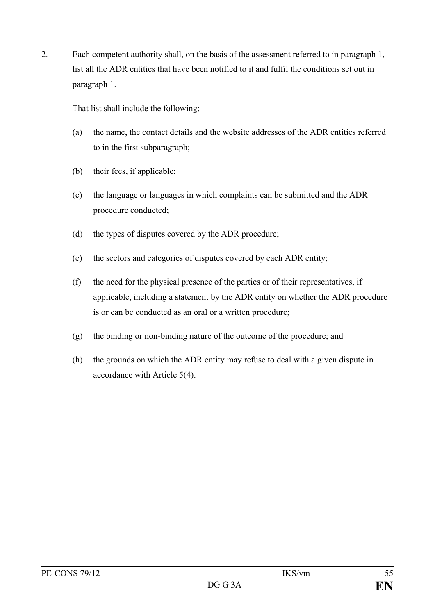2. Each competent authority shall, on the basis of the assessment referred to in paragraph 1, list all the ADR entities that have been notified to it and fulfil the conditions set out in paragraph 1.

That list shall include the following:

- (a) the name, the contact details and the website addresses of the ADR entities referred to in the first subparagraph;
- (b) their fees, if applicable;
- (c) the language or languages in which complaints can be submitted and the ADR procedure conducted;
- (d) the types of disputes covered by the ADR procedure;
- (e) the sectors and categories of disputes covered by each ADR entity;
- (f) the need for the physical presence of the parties or of their representatives, if applicable, including a statement by the ADR entity on whether the ADR procedure is or can be conducted as an oral or a written procedure;
- (g) the binding or non-binding nature of the outcome of the procedure; and
- (h) the grounds on which the ADR entity may refuse to deal with a given dispute in accordance with Article 5(4).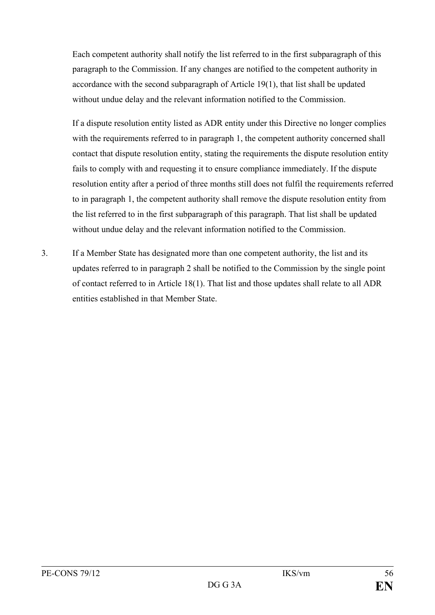Each competent authority shall notify the list referred to in the first subparagraph of this paragraph to the Commission. If any changes are notified to the competent authority in accordance with the second subparagraph of Article 19(1), that list shall be updated without undue delay and the relevant information notified to the Commission.

If a dispute resolution entity listed as ADR entity under this Directive no longer complies with the requirements referred to in paragraph 1, the competent authority concerned shall contact that dispute resolution entity, stating the requirements the dispute resolution entity fails to comply with and requesting it to ensure compliance immediately. If the dispute resolution entity after a period of three months still does not fulfil the requirements referred to in paragraph 1, the competent authority shall remove the dispute resolution entity from the list referred to in the first subparagraph of this paragraph. That list shall be updated without undue delay and the relevant information notified to the Commission.

3. If a Member State has designated more than one competent authority, the list and its updates referred to in paragraph 2 shall be notified to the Commission by the single point of contact referred to in Article 18(1). That list and those updates shall relate to all ADR entities established in that Member State.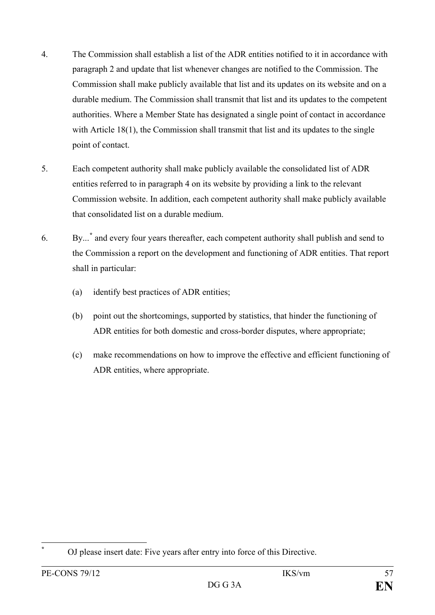- 4. The Commission shall establish a list of the ADR entities notified to it in accordance with paragraph 2 and update that list whenever changes are notified to the Commission. The Commission shall make publicly available that list and its updates on its website and on a durable medium. The Commission shall transmit that list and its updates to the competent authorities. Where a Member State has designated a single point of contact in accordance with Article 18(1), the Commission shall transmit that list and its updates to the single point of contact.
- 5. Each competent authority shall make publicly available the consolidated list of ADR entities referred to in paragraph 4 on its website by providing a link to the relevant Commission website. In addition, each competent authority shall make publicly available that consolidated list on a durable medium.
- 6. By... **[\\*](#page-57-0)** and every four years thereafter, each competent authority shall publish and send to the Commission a report on the development and functioning of ADR entities. That report shall in particular:
	- (a) identify best practices of ADR entities;
	- (b) point out the shortcomings, supported by statistics, that hinder the functioning of ADR entities for both domestic and cross-border disputes, where appropriate;
	- (c) make recommendations on how to improve the effective and efficient functioning of ADR entities, where appropriate.

<span id="page-57-0"></span>**\*** OJ please insert date: Five years after entry into force of this Directive.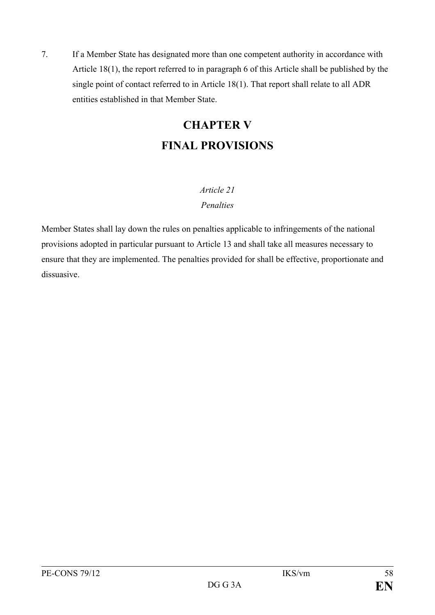7. If a Member State has designated more than one competent authority in accordance with Article 18(1), the report referred to in paragraph 6 of this Article shall be published by the single point of contact referred to in Article 18(1). That report shall relate to all ADR entities established in that Member State.

# **CHAPTER V FINAL PROVISIONS**

#### *Article 21*

#### *Penalties*

Member States shall lay down the rules on penalties applicable to infringements of the national provisions adopted in particular pursuant to Article 13 and shall take all measures necessary to ensure that they are implemented. The penalties provided for shall be effective, proportionate and dissuasive.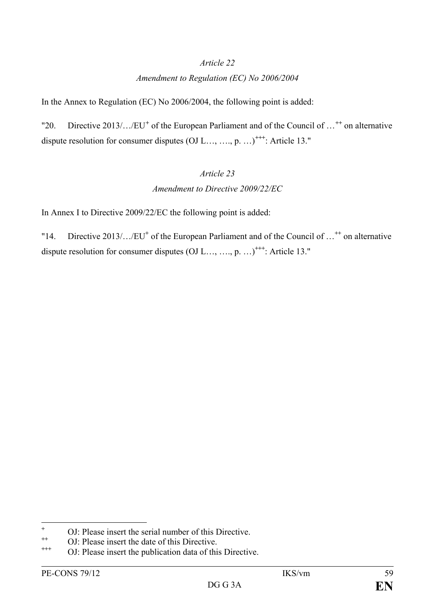#### *Amendment to Regulation (EC) No 2006/2004*

In the Annex to Regulation (EC) No 2006/2004, the following point is added:

"20. Directive 2013/.../EU<sup>[+](#page-59-0)</sup> of the European Parliament and of the Council of ...<sup>[++](#page-59-1)</sup> on alternative dispute resolution for consumer disputes (OJ L..., ..., p. ...)<sup>[+++](#page-59-2)</sup>: Article 13."

#### *Article 23*

#### *Amendment to Directive 2009/22/EC*

In Annex I to Directive 2009/22/EC the following point is added:

"14. Directive 2013/…/EU**<sup>+</sup>** of the European Parliament and of the Council of …**++** on alternative dispute resolution for consumer disputes  $(OJ L..., m, p, ...)^{+++}$ : Article 13."

<span id="page-59-0"></span><sup>&</sup>lt;sup>+</sup> **b** OJ: Please insert the serial number of this Directive.<br>
<sup>++</sup> **b** OJ: Please insert the publication data of this Directive.

<span id="page-59-1"></span>

<span id="page-59-2"></span>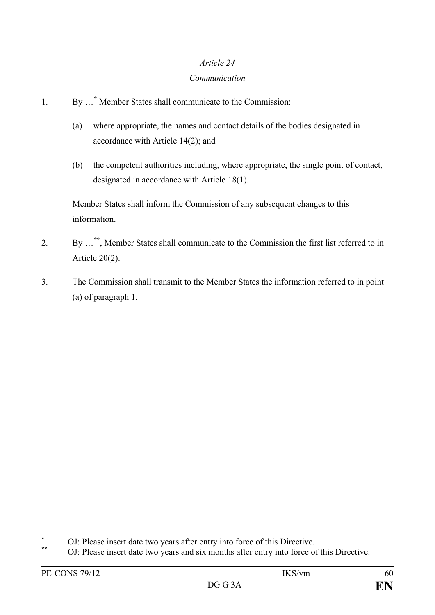#### *Communication*

- 1. By …**[\\*](#page-60-0)** Member States shall communicate to the Commission:
	- (a) where appropriate, the names and contact details of the bodies designated in accordance with Article 14(2); and
	- (b) the competent authorities including, where appropriate, the single point of contact, designated in accordance with Article 18(1).

Member States shall inform the Commission of any subsequent changes to this information.

- 2. By …**[\\*\\*](#page-60-1)**, Member States shall communicate to the Commission the first list referred to in Article 20(2).
- 3. The Commission shall transmit to the Member States the information referred to in point (a) of paragraph 1.

<span id="page-60-1"></span><span id="page-60-0"></span><sup>&</sup>lt;sup>\*</sup> OJ: Please insert date two years after entry into force of this Directive.<br>
<sup>\*\*</sup> OJ: Please insert date two years and six months after entry into force of this Directive.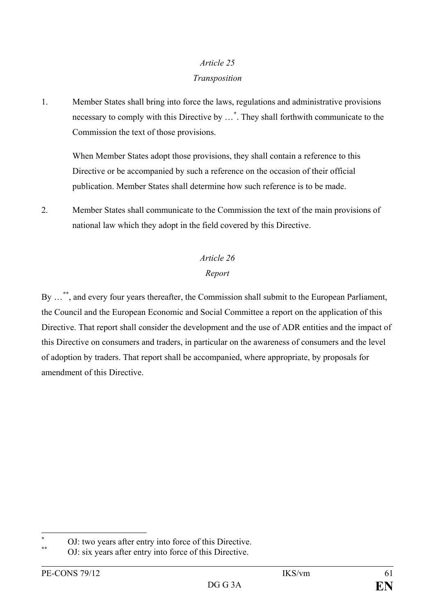#### *Transposition*

1. Member States shall bring into force the laws, regulations and administrative provisions necessary to comply with this Directive by …**[\\*](#page-61-0)** . They shall forthwith communicate to the Commission the text of those provisions.

When Member States adopt those provisions, they shall contain a reference to this Directive or be accompanied by such a reference on the occasion of their official publication. Member States shall determine how such reference is to be made.

2. Member States shall communicate to the Commission the text of the main provisions of national law which they adopt in the field covered by this Directive.

# *Article 26 Report*

By …**[\\*\\*](#page-61-1)**, and every four years thereafter, the Commission shall submit to the European Parliament, the Council and the European Economic and Social Committee a report on the application of this Directive. That report shall consider the development and the use of ADR entities and the impact of this Directive on consumers and traders, in particular on the awareness of consumers and the level of adoption by traders. That report shall be accompanied, where appropriate, by proposals for amendment of this Directive.

<span id="page-61-0"></span><sup>&</sup>lt;sup>\*</sup> OJ: two years after entry into force of this Directive.<br>
<sup>\*\*</sup> OJ: six years after entry into force of this Directive.

<span id="page-61-1"></span>